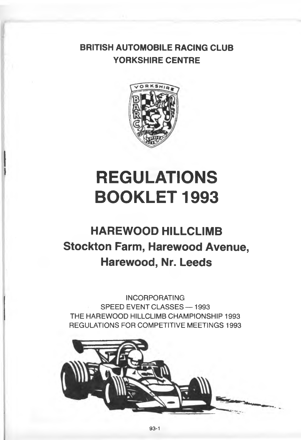### **BRITISH AUTOMOBILE RACING CLUB YORKSHIRE CENTRE**



# **REGULATIONS BOOKLET 1993**

## **HAREWOOD HILLCLIMB Stockton Farm, Harewood Avenue, Harewood, Nr. Leeds**

**INCORPORATING SPEED EVENT CLASSES — 1993 THE HAREWOOD HILLCLIMB CHAMPIONSHIP 1993 REGULATIONS FOR COMPETITIVE MEETINGS 1993**

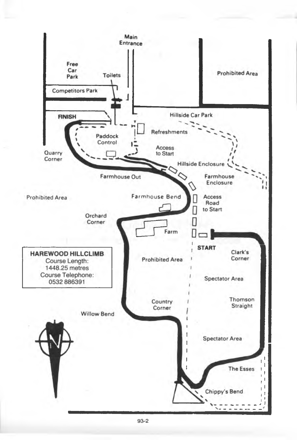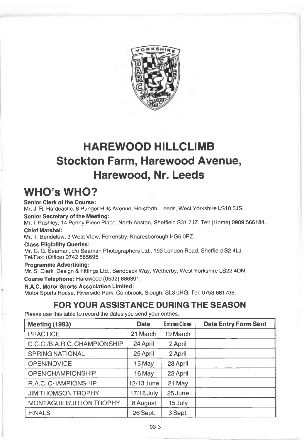

### **HAREWOOD HILLCLIMB Stockton Farm, Harewood Avenue, Harewood, Nr. Leeds**

### **WHO's WHO?**

**Senior Clerk of the Course:** Mr. J. R. Hardcastle, 8 Hunger Hills Avenue, Horsforth, Leeds, West Yorkshire LS18 5JS.

**Senior Secretary of the Meeting:**

Mr, I. Pashley, 14 Penny Piece Place, North Anston, Sheffield 831 7JZ. Tel: (Home) 0909 566184. **Chief Marshai:**

Mr. T. Bendelow, 3 West View, Ferrensby, Knaresborough HG5 OPZ.

**Class Eligibility Queries:**

Mr. C. G. Seaman, c/o Seaman Photographers Ltd., 193 London Road, Sheffield S2 4LJ. Tel/Fax; (Office) 0742 585695.

**Programme Advertising:**

Mr. S. Clark, Design & Fittings Ltd., Sandbeck Way, Wetherby, West Yorkshire LS22 4DN. **Course Telephone:** Harewood (0532) 886391.

**R.A.C. Motor Sports Association Limited:** Motor Sports House, Riverside Park, Colnbrook, Slough, SL3 OHO. Tel: 0753 681736.

### **FOR YOUR ASSISTANCE DURING THE SEASON**

Please use this table to record the dates you send your entries.

| <b>Meeting (1993)</b>        | Date       | <b>Entries Close</b> | <b>Date Entry Form Sent</b> |
|------------------------------|------------|----------------------|-----------------------------|
| <b>PRACTICE</b>              | 21 March   | 19 March             |                             |
| C.C.C./B.A.R.C. CHAMPIONSHIP | 24 April   | 2 April              |                             |
| <b>SPRING NATIONAL</b>       | 25 April   | 2 April              |                             |
| OPEN/NOVICE                  | 15 May     | 23 April             |                             |
| OPEN CHAMPIONSHIP            | 16 May     | 23 April             |                             |
| R.A.C. CHAMPIONSHIP          | 12/13 June | 21 May               |                             |
| <b>JIM THOMSON TROPHY</b>    | 17/18 July | 25 June              |                             |
| MONTAGUE BURTON TROPHY       | 8 August   | 15 July              |                             |
| <b>FINALS</b>                | 26 Sept.   | 3 Sept.              |                             |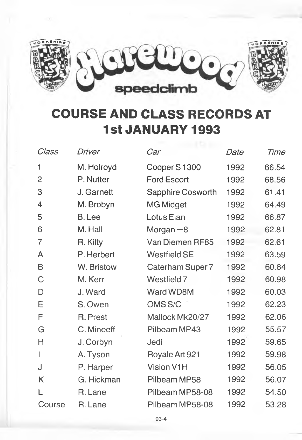

## **COURSE AND CLASS RECORDS AT 1st JANUARY 1993**

| Class  | Driver        | Car                      | Date | Time  |
|--------|---------------|--------------------------|------|-------|
| 1      | M. Holroyd    | Cooper S1300             | 1992 | 66.54 |
| 2      | P. Nutter     | <b>Ford Escort</b>       | 1992 | 68.56 |
| 3      | J. Garnett    | <b>Sapphire Cosworth</b> | 1992 | 61.41 |
| 4      | M. Brobyn     | <b>MG Midget</b>         | 1992 | 64.49 |
| 5      | <b>B.</b> Lee | Lotus Elan               | 1992 | 66.87 |
| 6      | M. Hall       | Morgan $+8$              | 1992 | 62.81 |
| 7      | R. Kilty      | Van Diemen RF85          | 1992 | 62.61 |
| A      | P. Herbert    | <b>Westfield SE</b>      | 1992 | 63.59 |
| В      | W. Bristow    | Caterham Super 7         | 1992 | 60.84 |
| C      | M. Kerr       | Westfield 7              | 1992 | 60.98 |
| D      | J. Ward       | Ward WD8M                | 1992 | 60.03 |
| E      | S. Owen       | OMS <sub>S/C</sub>       | 1992 | 62.23 |
| F      | R. Prest      | Mallock Mk20/27          | 1992 | 62.06 |
| G      | C. Mineeff    | Pilbeam MP43             | 1992 | 55.57 |
| Н      | J. Corbyn     | Jedi                     | 1992 | 59.65 |
|        | A. Tyson      | Royale Art 921           | 1992 | 59.98 |
| J      | P. Harper     | <b>Vision V1H</b>        | 1992 | 56.05 |
| K      | G. Hickman    | Pilbeam MP58             | 1992 | 56.07 |
|        | R. Lane       | Pilbeam MP58-08          | 1992 | 54.50 |
| Course | R. Lane       | Pilbeam MP58-08          | 1992 | 53.28 |
|        |               |                          |      |       |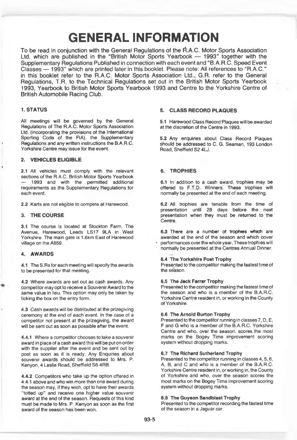### **GENERAL INFORMATION**

To be read in conjunction with the General Regulations of the R.A.C. Motor Sports Association Ltd. which are published in the "British Motor Sports Yearbook — 1993" together with the Supplementary Regulations Published in connection with each event and "B.A.R.C. Speed Event Classes — 1993" which are printed later in this booklet. Please note: All references to "R.A.C." in this booklet refer to the R.A.C. Motor Sports Association Ltd., G.R. refer to the General Regulations, T.R. to the Technical Regulations set out in the British Motor Sports Yearbook 1993. Yearbook to British Motor Sports Yearbook 1993 and Centre to the Yorkshire Centre of British Automobile Racing Club.

#### **1. STATUS**

All meetings will be governed by the General Regulations of The R.A.C. Motor Sports Association Ltd. (Incorporating the provisions of the International Sporting Code of the FIA), the Supplementary Regulations and any written instructions the B.A.R.C. Yorkshire Centre may issue for the event.

#### **2. VEHICLES ELIGIBLE**

**2.1** All vehicles must comply with the relevant sections of the R.A.C. British Motor Sports Yearbook 1993 and with the permitted additional requirements as the Supplementary Regulations for each event.

2.2 Karts are not eligible to compete at Harewood.

#### **3. THE COURSE**

3.1 The course is located at Stockton Farm, The Avenue, Harewood, Leeds LS17 9LA in West Yorkshire. The main gate is 1.6km East of Harewood village on the A659.

#### **4. AWARDS**

**4.1** The S.Rsfor each meeting will specify the awards to be presented for that meeting.

**4.2** Where awards are set out as cash awards. Any competitor may opt to receive a Souvenir Award to the same value in lieu. This option may only be taken by ticking the box on the entry form.

**4.3** Cash awards will be distributed at the prizegiving ceremony at the end of each'event. In the case of a competitor not present at the prizegiving, the award will be sent out as soon as possible after the event.

**4.4.1** Where a competitor chooses to take a souvenir award in place of a cash award this will be put on order with the supplier after the event and be sent out by post as soon as it is ready. Any Enquiries about souvenir awards should be addressed to Mrs. P. Kenyon, 4 Leslie Road, Sheffield S6 4RB.

**4.4.2** Competitors who take up the option offered in 4.4.1 above and who win more than one award during the season may, if they wish, opt to have their awards "totted up" and receive one higher value souvenir award at the end of the season. Requests of this kind must be made to Mrs. P. Kenyon as soon as the first award of the season has been won.

#### **5. CLASS RECORD PLAQUES**

5.1 Harewood Class Record Plaques will be awarded at the discretion of the Centre in 1993.

5.2 Any enquiries about Class Record Plaques should be addressed to C. G. Seaman, 193 London Road, Sheffield S24U.

#### **6. TROPHIES**

**6.1** In addition to a cash award, trophies may be offered to F.T.D. Winners. These trophies will nomnally be presented at the end of each meeting.

**6.2** All trophies are tenable from the time of presentation until 28 days before the next presentation when they must be returned, to the ' Centre.

6.3 There are a number of trophies which are awarded at the end of the season and which cover performances over the whole year. These trophies will normally be presented at the Centres Annual Dinner.

#### **6.4 The Yorkshire Post Trophy**

Presented to the competitor making the fastest time of the season.

#### **6.5 The Jack Farrar Trophy**

Presented to the competitor making the fastest time of the season and who is a member of the B.A.R.C. Yorkshire Centre resident in, or working in the County of Yorkshire,

#### **6.6 The Arnold Burton Trophy**

Presented to the competitor running in classes 7, D, E, F and G who is a member of the B.A.R.C. Yorkshire Centre and who, over the season, scores the most marks on the Bogey Time improvement scoring system without dropping marks.

#### **6.7 The Richard Sutherland Trophy**

Presented to the competitor running in classes 4, 5, 6, A, B, and C and who is a member of the B.A.R.C. Yorkshire Centre resident in, or working in, the County of Yorkshire and who, over the season scores the most marks on the Bogey Time improvement scoring system without dropping marks.

#### **6.8 The Guyson Sandblast Trophy**

Presented to the competitor recording the fastest time of the season in a Jaguar car.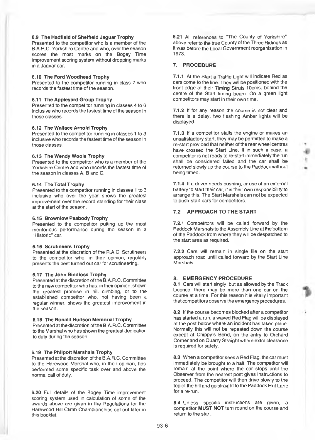#### **6.9 The Hadfield of Sheffield Jaguar Trophy**

Presented to the competitor who is a member of the B.A.R.C. Yorkshire Centre and who, over the season scores the most marks on the Bogey Time improvement scoring system without dropping marks in a Jaguar car.

#### 6.10 **The Ford Woodhead Trophy**

Presented to the competitor running in class 7 who records the fastest time of the season.

#### 6.11 **The Appleyard Group Trophy**

Presented to the competitor running in classes 4 to 6 inclusive who records the fastest time of the season in those classes.

#### **6.12 The Wallace Arnold Trophy**

Presented to the competitor running in classes 1 to 3 inclusive who records the fastest time of the season in those classes.

#### **6.13 The Wendy Wools Trophy**

Presented to the competitor who is a member of the Yorkshire Centre and who records the fastest time of the season in classes A, B and C.

#### **6.14 The Total Trophy**

Presented to the competitor running in classes 1 to 3 inclusive who over the year shows the greatest improvement over the record standing for their class at the start of the season.

#### **6.15 Brownlow Peabody Trophy**

Presented to the competitor putting up the most meritorious performance during the season in a "Historic" car.

#### **6.16 Scrutineers Trophy**

Presented at the discretion of the R.A.C. Scrutineers to the competitor who, in their opinion, regularly presents the best turned out car for scrutineering.

#### **6.17 The John Bindloss Trophy**

Presented at the discretion of the B. A.R.C. Committee to the new competitor who has, in their opinion, shown the greatest promise in hill climbing, or to the established competitor who, not having been a regular winner, shows the greatest improvement in the season.

#### **6.18 The Ronald Hudson Memorial Trophy**

Presented at the discretion of the B. A.R.C. Committee to the Marshal who has shown the greatest dedication to duty during the season.

#### **6.19 The Phllpott Marshals Trophy**

Presented at the discretion of the B.A.R.C. Committee to the Harewood Marshal who, in their opinion, has performed some specific task over and above the normal call of duty.

**6.20** Full details of the Bogey Time improvement scoring system used in calculation of some of the awards above are given in the Regulations for the Harewood Hill Climb Championships set out later in this booklet.

**6.21** All references to "The County of Yorkshire" above refer to the true County of the Three Ridings as it was before the Local Government reorganisation in 1973.

#### **7. PROCEDURE**

**7.1.1** At the Start a Traffic Light will indicate Red as cars come to the line. They will be positioned with the front edge of their Timing Struts 10cms. behind the centre of the Start timing beam. On a green light competitors may start in their own time.

**7.1.2** If for any reason the course is not clear and there is a delay, two flashing Amber lights will be displayed.

**7.1.3** If a competitor stalls the engine or makes an unsatisfactory start, they may be permitted to make a re-start provided that neither of the rear wheel centres have crossed the Start Line. If in such a case, a competitor is not ready to re-start immediately the run shall be considered failed and the car shall be returned slowly up the course to the Paddock without being timed.

**7.1.4** If a driver needs pushing, or use of an external battery to start their car, it is their own responsibility to arrange this. The Start Marshals can not be expected to push-start cars for competitors.

#### **7.2 APPROACH TO THE START**

**7.2.1** Competitors will be called forward by the Paddock Marshals to the Assembly Line at the bottom of the Paddock from where they will be despatched to the start area as required.

**7.2.2** Cars will remain in single file on the start approach road until called forward by the Start Line Marshals.

#### **8. EMERGENCY PROCEDURE**

**8.1** Cars will start singly, but as allowed by the Track Licence, there may be more than one car on the course at a time. For this reason it is vitally important that competitors observe the emergency procedures.

**8.2** If the course becomes blocked after a competitor has started a run, a waved Red Flag will be displayed at the post below where an incident has taken place. Normaliy this will not be repeated down the course except at Chippy's Bend, on the entry to Orchard Comer and on Quarry Straight where extra clearance is required for safety.

**8.3** When a competitor sees a Red Flag, the car must immediately be brought to a halt. The competitor will remain at the point where the car stops until the Observer from the nearest post gives instructions to proceed. The competitor will then drive slowly to the top of the hill and go straight to the Paddock Exit Lane for a re-run.

**8.4** Unless specific instructions are given, a competitor **MUST NOT** turn round on the course and return to the start.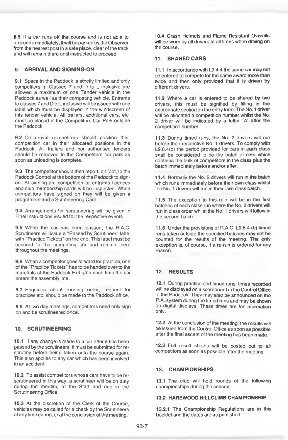8.5 If a car runs off the course and is not able to proceed immediately, it will be parked by the Observer from the nearest post in a safe place, clear of the track and will remain there until instructed to proceed.

#### **9. ARRIVAL AND SIGNING-ON**

9.1 Space in the Paddock is strictly limited and only competitors in Classes 7 and D to L inclusive are allowed a maximum of one Tender vehicle in the Paddock as well as their competing vehicle. Entrants to classes 7 and D to L inclusive will be issued with one label which must be displayed in the windscreen of this tender vehicle. All trailers, additional cars, etc. must be placed in the Competitors Car Park outside the Paddock.

9.2 On arrival competitors should position their competition car in their allocated positions in the Paddock. All trailers and non-authorised tenders should be removed to the Competitors car park as soon as unloading is complete.

9.3 The competitor should then report, on foot, to the Paddock Control at the bottom of the Paddock to signon. At signing-on, competition or entrants licences and club membership cards will be inspected. When competitors have signed on they will be given a programme and a Scrutineering Card.

9.4 Arrangements for scrutineering will be given in Final Instructions issued for the respective events.

9.5 When the oar has been passed, the R.A.C. Scrutineers will issue a "Passed by Scrutineer" label with "Practice Tickets" on the end. This label must be secured to the competing car and remain there throughout the meetings.

9.6 When a competitor goes forward for practice, one of the "Practice Tickets" has to be handed over to the marshals at the Paddock Exit gate each time the car enters the assembly line.

9.7 Enquiries about running order, request for practices etc. should be made to the Paddock office.

9.8 At two day meetings, competitors need only sign on and be scrutineered once.

#### **10. SCRUTINEERING**

10.1 If any change is made to a car after it has been passed by the scrutineers, it must be submitted for rescrutiny before being taken onto the course again. This also applies to any car which has been involved in an accident.

10.2 To assist competitors whose cars have to be rescrutineered in this way, a scrutineer will be on duty during the meeting at the Start and one in the Scrutineering Office.

10.3 At the discretion of the Clerk of the Course, vehicles may be called for a check by the Scrutineers at anytime during, or at the conclusion of the meeting.

10.4 Crash Helmets and Flame Resistant Overalls will be worn by all drivers at all times when driving on the course.

#### 11. **SHARED CARS**

11.1 In accordance with L9.4.4 the same car may not be entered to compete for the same award more than twice and then only provided that it is driven by different drivers.

11.2 Where a car is entered to be shared by two drivers, this must be signified by filling in the appropriate section on the entry form. The No. 1 driver will be allocated a competition number whilst the No. 2 driver will be indicated by a letter 'A' after the competition number.

11.3 During timed runs, the No. 2 drivers will run before their respective No. 1 drivers. To comply with L9.8.4(b) the period provided for cars in each dass shall be considered to be the batch of cars which contains the bulk of competitors in the class plus the batch immediately before and/or after.

11.4 Normally the No. 2 drivers will run in the batch which runs immediately before their own class whilst the No. 1 drivers will run in their own class batch.

11.5 The exception to this rule will be in the first batches of each class run where the No. 2 drivers will run in class order whilst the No. 1 drivers will follow in the second batch.

11.6 Under the provisions of R.A.C. L9.8.4.(b) timed runs taken outside the specified batches may not be counted for the results of the meeting. The only exception is, of course, if a re-run is ordered for any reason.

#### 12. **RESULTS**

12.1 During practice and timed runs, times recorded will be displayed on a scoreboard in the Control Office in the Paddock. They may also be announced on the P. A. system during the timed runs and may be shown on digital displays. These times are for information only.

12.2 At the conclusion of the meeting, the results will be issued from the Control Office as soon as possible after the final ascent of the meeting has been made.

12.3 Full result sheets will be posted out to all competitors as soon as possible after the meeting.

#### 13. **CHAMPIONSHIPS**

13.1 The club will hold rounds of the following championships during the season.

#### 13.2 **HAREWOOD HILLCLIMB CHAMPIONSHIP**

13.2.1 The Championship Regulations are in this booklet and the dates are as published.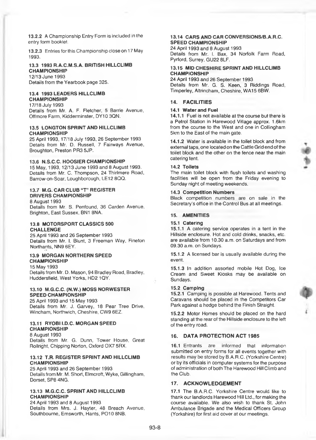**13.2.2** A Championship Entry Form is included in the entry form bookiet.

13.2.3 Entries for this Championship close on 17 May 1993.

#### **13.3 1993 R.A.C.M.S.A. BRITISH HILLCLIMB CHAMPIONSHIP**

12/13 June 1993 Details from the Yearbook page 325.

#### **13.4 1993 LEADERS HILLCLIMB CHAMPIONSHIP**

17/18 July 1993 Details from Mr. A. F. Fletcher, 5 Barrie Avenue, Offmore Farm, Kidderminster, DY10 3QN.

#### **13.5 LONGTON SPRINT AND HILLCLIMB CHAMPIONSHIP**

25 April 1993,17/18 July 1993, 26 September 1993 Details from Mr. D. Russell, 7 Fainways Avenue, Broughton, Preston PR3 5JP.

#### **13.6 N.S.C.C. HOOSIER CHAMPIONSHIP**

15 May, 1993,12/13 June 1993 and 8 August 1993. Details from Mr. C. Thompson, 24 Thirlmere Road, Barrow-on-Soar, Loughborough, LE12 8QQ.

#### **13.7 M.G. CAR CLUB "T" REGISTER DRIVERS CHAMPIONSHIP**

8 August 1993 Details from Mr. S. Penfound, 36 Carden Avenue, Brighton, East Sussex, BN1 SNA.

#### **13.8 MOTORSPORT CLASSICS 500 CHALLENGE**

25 April 1993 and 26 September 1993 Details from Mr. I. Blunt, 3 Freeman Way, Fineton Northants, NN9 6EY.

#### **13.9 MORGAN NORTHERN SPEED CHAMPIONSHIP**

15 May 1993 Details from Mr. D. Mason, 94 Bradley Road, Bradley, Huddersfield, West Yorks, HD2 1QY.

#### **13.10 M.G.C.C. (N.W.) MOSS NORWESTER SPEED CHAMPIONSHIP**

25 April 1993 and 15 May 1993 Details from Mr. J. Garvey, 18 Pear Tree Drive, Wincham, Northwich, Cheshire, CW9 6EZ.

#### **13.11 RYOBI I.D.C. MORGAN SPEED CHAMPIONSHIP**

8 August 1993 Details from Mr. G. Dunn, Tower House, Great Rollright, Chipping Norton, Oxford 0X7 5RX.

#### **13.12 T.R. REGISTER SPRINT AND HILLCLIMB CHAMPIONSHIP**

25 April 1993 and 26 September 1993 Details from Mr. M. Short, Elmcroft, Wyke, Gillingham, Dorset, SP8 4NG.

#### **13.13 M.G.C.C. SPRINT AND HILLCLIMB CHAMPIONSHIP**

24 April 1993 and 8 August 1993 Details from Mrs. J. Hayter, 48 Breach Avenue, Southbourne, Emsworth, Hants, P010 8NB.

#### **13.14 CARS AND CAR CONVERSIONS/B.A.R.C. SPEED CHAMPIONSHIP**

24 April 1993 and 8 August 1993 Details from Mr. I. Bax, 34 Norfolk Farm Road, Pyrford, Surrey, GU22 8LF.

#### **13.15 MID CHESHIRE SPRINT AND HILLCLIMB CHAMPIONSHIP**

24 April 1993 and 26 September 1993 Details from Mr. G. 8. Keen, 3 Riddings Road, Timperley, Altrincham, Cheshire, WA15 6BW.

#### **14. FACILITIES**

#### **14.1 Water and Fuel**

**14.1.1** Fuel is not available at the course but there is a Petrol Station in Harewood Village approx. 1.6km from the course to the West and one in Collingham 5km to the East of the main gate.

**14.1.2** Water is available in the toilet block and from external taps, one located on the Cattle Grid end of the toilet block and the other on the fence near the main catering tent.

#### **14.2 Toilets**

The main toilet block with flush toilets and washing facilities will be open from the Friday evening to Sunday night of meeting weekends.

#### **14.3 Competition Numbers**

Black competition numbers are on sale in the Secretary's office in the Control Bus at all meetings.

#### **15. AMENITIES**

#### **15.1 Catering**

**15.1.1** A catering service operates in a tent in the Hillside enclosure. Hot and cold drinks, snacks, etc. are available from 10.30 a.m. on Saturdays and from 09.30 a.m. on Sundays.

**15.1.2** A licensed bar is usually available during the event.

**15.1.3** In addition assorted mobile Hot Dog, Ice Cream and Sweet Kiosks may be available on Sundays.

#### **15.2 Camping**

**15.2.1** Camping is possible at Harewood. Tents and Caravans should be placed in the Competitors Car Park against a hedge behind the Finish Straight.

**15.2.2** Motor Homes should be placed on the hard standing at the rear of the Hillside enclosure to the left of the entry road.

#### **16. DATA PROTECTION ACT 1985**

**16.1** Entrants are informed that information submitted on entry forms for all events together with results may be stored by B.A.R.C. (Yorkshire Centre) or by its officials in computer systems for the purpose of administration of both The Harewood Hill Climb and the Club.

#### **17. ACKNOWLEDGEMENT**

**17.1** The B.A.R.C. Yorkshire Centre would like to thank our landlords Harewood Hill Ltd., for making the course available. We also wish to thank St. John Ambulance Brigade and the Medical Officers Group (Yorkshire) for first aid cover at our meetings.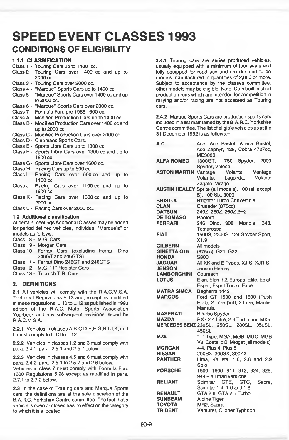### **SPEED EVENT CLASSES 1993 CONDITIONS OF ELIGIBILITY**

#### **1.1.1 CLASSIFICATION**

- Class 1 Touring Cars up to 1400 cc.
- Class 2 Touring Cars over 1400 cc and up to 2000 cc.
- Class 3 Touring Cars over 2000 cc.
- Class 4 "Marque" Sports Cars up to 1400 cc.
- Class 5 "Marque" Sports Cars over 1400 cc and up to 2000 cc.
- Class 6 "Marque" Sports Cars over 2000 cc.
- Class 7 Formula Ford pre 1988 1600 cc.
- Class A Modified Production Cars up to 1400 cc.
- Class B Modified Production Cars over 1400 cc and up to 2000 cc.
- Class C Modified Production Cars over 2000 cc.
- Class D Clubmans Sports Cars.
- Class E Sports Libre Cars up to 1300 cc.
- Class F Sports Libre Cars over 1300 cc and up to 1600 cc.
- Class G Sports Libre Cars over 1600 cc.
- Class H Racing Cars up to 500 cc.
- Class I Racing Cars over 500 cc and up to 1100 cc.
- Class J Racing Cars over 1100 cc and up to 1600 cc.
- Class K Racing Cars over 1600 cc and up to 2000 cc.
- Class L Racing Cars over 2000 cc..

#### **1.2 Additional classification**

At certain meetings Additional Classes may be added for period defined vehicles, individual "Marque's" or models as follows:-

- Class 8 M.G. Cars
- Class 9 Morgan Cars
- Class 10 Ferrari Cars (excluding Ferrari Dino 246GT and 246GTS)
- Class 11 Ferrari Dino 246GT and 246GTS
- Class 12 M.G. "T" Register Cars
- Class 13 Triumph T.R. Cars.

#### **2. DEFINITIONS**

**2.1** All vehicles will comply with the R.A.C.M.S.A. Technical Regulations E.13 and, except as modified in these regulations, L. 10 to L. 12 as published in 1993 edition of the R.A.C. Motor Sports Association Yearbook and any subsequent revisions issued by R.A.C.M.S.A.

2.2.1 Vehicles in classes A,8,C,D,E,F,G,H,I,J,K, and L must comply to L 10 to L 12.

**2.2.2** Vehicles in classes 1,2 and 3 must comply with para. 2.4.1, para. 2.5.1 and 2.5.7 below.

**2.2.3** Vehicles in classes 4,5 and 6 must comply with para. 2.4.2, para. 2.5.1 to 2.5.7 and 2.6 below.

Vehicles in class 7 must comply with Formula Ford 1600 Regulations 5.26 except as modified in para. 2.7.1 to 2.7.2 below.

**2.3** In the case of Touring cars and Marque Sports cars, the definitions are at the sole discretion of the B.A.R.C. Yorkshire Centre committee. The fact that a vehicle is open or closed has no effect on the category to which it is allocated.

**2.4.1** Touring cars are series produced vehicles, usually equipped with a minimum of four seats and fully equipped for road use and are deemed to be models manufactured in quantities of 2,000 or more. Subject to acceptance by the classes committee, other models may be eligible. Note. Cars built in short production runs which are intended for competition in rallying and/or racing are not accepted as Touring cars.

**2.4.2** Marque Sports Cars are production sports cars included in a list maintained by the B.A.R.C. Yorkshire Centre committee. The list of eligible vehicles as at the 31 December 1992 is as follows:-

| A.C.               | Ace, Ace Bristol, Aceca Bristol,                          |
|--------------------|-----------------------------------------------------------|
|                    | Ace Zephyr, 428, Cobra 4727cc,                            |
|                    | ME3000                                                    |
| <b>ALFA ROMEO</b>  | 1750 Spyder, 2000<br>1300GT,                              |
|                    | Spyder, Veloce                                            |
|                    | <b>ASTON MARTIN</b> Vantage, Volante,<br>Vantage          |
|                    | Volante, Lagonda,<br>Volante                              |
|                    | Zagato, Virage                                            |
|                    | <b>AUSTIN HEALEY</b> Sprite (all models), 100 (all except |
|                    | S), 100 Six, 3000                                         |
| <b>BRISTOL</b>     | <b>B'fighter Turbo Convertible</b>                        |
| <b>CLAN</b>        | Crusader (875cc)                                          |
| <b>DATSUN</b>      | 240Z, 260Z, 260Z 2+2                                      |
| <b>DE TOMASO</b>   | Pantera                                                   |
| <b>FERRARI</b>     | 246 Dino, 308. Mondial, 348,                              |
|                    | Testarossa                                                |
| <b>FIAT</b>        | 1500S, 2300S, 124 Spyder Sport,                           |
|                    | X1/9                                                      |
| <b>GILBERN</b>     | All models                                                |
| <b>GINETTA G15</b> | (875cc), G21, G32                                         |
| <b>HONDA</b>       | S800                                                      |
| <b>JAGUAR</b>      | All XK and E Types, XJ-S, XJR-S                           |
| <b>JENSON</b>      | Jenson Healey                                             |
| <b>LAMBORGHINI</b> | Countach                                                  |
| <b>LOTUS</b>       | Elan, Elan +2, Europa, Elite, Eclat,                      |
|                    | Esprit, Esprit Turbo, Excel                               |
| MATRA SIMCA        | Bagherra 1442                                             |
| <b>MARCOS</b>      | Ford GT 1500 and 1600 (Push                               |
|                    | Rod), 2 Litre (V4), 3 Litre, Mantis,                      |
|                    | Mantula                                                   |
| <b>MASERATI</b>    | <b>Biturbo Spyder</b>                                     |
| <b>MAZDA</b>       | RX7 2.4 Litre, 2.6 Turbo and MX5                          |
|                    | MERCEDES BENZ 230SL, 250SL, 280SL, 350SL,                 |
|                    | 450SL                                                     |
| M.G.               | "T" Type, MGA, MGB, MGC, MGB                              |
|                    | V8, Costello B, Midget (all models)                       |
| <b>MORGAN</b>      | 4/4, Plus 4, Plus 8                                       |
| <b>NISSAN</b>      | 200SX, 300SX, 300ZX                                       |
| <b>PANTHER</b>     | Lima, Kallista, 1.6, 2.8 and 2.9                          |
|                    | Solo                                                      |
| <b>PORSCHE</b>     | 1500, 1600, 911, 912, 924, 928,                           |
|                    | 944 - all road versions.                                  |
| <b>RELIANT</b>     | Scimitar GTE, GTC,<br>Sabre.                              |
|                    | Scimitar 1.4, 1.6 and 1.8                                 |
| <b>RENAULT</b>     | GTA 2.8, GTA 2.5 Turbo                                    |
| <b>SUNBEAM</b>     | Alpine Tiger                                              |
| ΤΟΥΟΤΑ             | MR2, Supra                                                |
| <b>TRIDENT</b>     | Venturer, Clipper Typhoon                                 |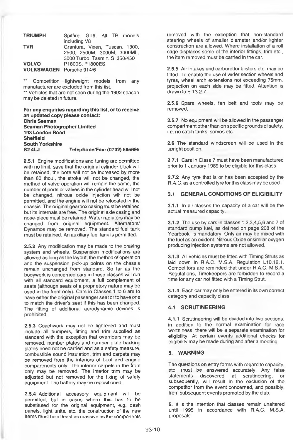| <b>TRIUMPH</b>           | Spitfire, GT6, All TR models   |
|--------------------------|--------------------------------|
|                          | including V8                   |
| <b>TVR</b>               | Grantura, Vixen, Tuscan, 1300, |
|                          | 2500, 2500M, 3000M, 3000ML,    |
|                          | 3000 Turbo, Tasmin, S, 350/450 |
| <b>VOLVO</b>             | P1800S. P1800ES                |
| VOLKSWAGEN Porsche 914/6 |                                |

\*\* Competition lightweight models from any manufacturer are excluded from this list. \*\* Vehicles that are not seen during the 1992 season

may be deleted in future. **For any enquiries regarding this list, or to receive an updated copy please contact; Chris Seaman**

**Seaman Photographer Limited 193 London Road Sheffield South Yorkshire S2 4LJ Telephone/Fax: (0742) 585695**

2.5.1 Engine modifications and tuning are permitted with no limit, save that the original cylinder block will be retained, the bore will not be increased by more than 60 thou., the stroke will not be changed, the method of valve operation will remain the same, the number of ports or valves in the cylinder head will not be changed, nitrous oxide injection will not be permitted, and the engine will not be relocated in the chassis. The original gearbox casing must be retained but its internals are free. The original axle casing and nose-piece must be retained. Water radiators may be changed from original equipment. Alternators/ Dynamos may be removed. The standard fuel tank must be retained. An auxiliary fuel tank is permitted.

2.5.2 Any modification may be made to the braking system and wheels. Suspension modifications are allowed as long as the layout, the method of operation and the suspension pick-up points on the chassis remain unchanged from standard. So far as the bodywork is concerned cars in these classes will run with all standard equipment, a full complement of seats (although seats of a proprietory nature may be used in the front only). Cars in Classes 1 to 6 are to have either the original passenger seat or to have one to match the driver's seat if this has been changed. The fitting of additional aerodynamic devices is prohibited.

2.5.3 Coachwork may not be lightened and must include all bumpers, fitting and trim supplied as standard with the exception that overriders may be removed, number plates and number plate backing plates need not be carried and as a safety measure, combustible sound insulation, trim and carpets may be removed from the interiors of boot and engine compartments only. The interior carpets in the front only may be removed. The interior trim may be adjusted but not removed for the fixing of safety equipment. The battery may be repositioned.

2.5.4 Additional accessory equipment will be permitted, but in cases where this has to be substituted for the original equipment, e.g. dash panels, light units, etc. the construction of the new items must be at least as massive as the components removed with the exception that non-standard steering wheels of smaller diameter and/or lighter construction are allowed. Where installation of a roll cage displaces some of the interior fittings, trim etc., the item removed must be carried in the car.

**2.5.5** Air intakes and carburettor blisters etc. may be fitted. To enable the use of wider section wheels and tyres, wheel arch extensions not exceeding 75mm. projection on each side may be fitted. Attention is drawn to E 13.2.7.

**2.5.6** Spare wheels, fan belt and tools may be removed.

**2.5.7** No equipment will be allowed in the passenger compartment other than on specific grounds of safety, i.e. no catch tanks, servos etc.

**2.6** The standard windscreen will be used in the upright position.

**2.7.1** Cars in Class **7** must have been manufactured prior to 1 January 1989 to be eligible for this class.

**2.7.2** Any tyre that is or has been accepted by the R.A.C. as a controlled tyre for this class may be used.

#### **3.1 GENERAL CONDITIONS OF ELIGIBILITY**

**3.1.1** In all classes the capacity of a car will be the actual measured capacity.

3.1**.2** The use by cars in classes 1,2,3,4,5,6 and 7 of standard pump fuel, as defined on page 208 of the Yearbook, is mandatory. Only air may be mixed with the fuel as an oxident. Nitrous Oxide or similar oxygen producing injection systems are not allowed.

**3.1.3** All vehicles must be fitted with Timing Struts as laid down in R.A.C. M.S.A. Regulation L10.12.1. Competitors are reminded that under R.A.C. M.S.A. Regulations, Timekeepers are forbidden to record a time for any car not fitted with a Timing Strut.

**3.1.4** Each car may only be entered in its own correct category and capacity class.

#### **4.1 SCRUTINEERING**

**4.1.1** Scrutineering will be divided into two sections, in addition to the normal examination for race worthiness, there will be a separate examination for eligibility. At certain events additional checks for eligibility may be made during and after a meeting.

#### **5. WARNING**

The questions on entry forms with regard to capacity, etc. must be answered accurately. Any false statements discovered at scrutineering, or subsequently, will result in the exclusion of the competitor from the event concerned, and possibly, from subsequent events promoted by the club.

6. It is the intention that classes remain unaltered until 1995 in accordance with R.A.C. M.S.A. proposals.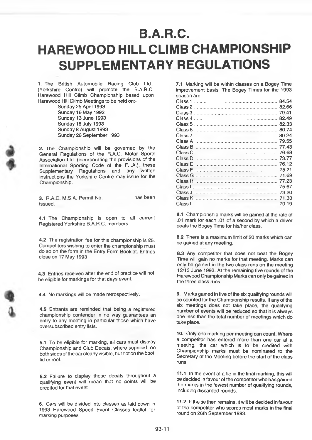## **B.A.R.C. HAREWOOD HILL CLIMB CHAMPIONSHIP SUPPLEMENTARY REGULATIONS**

1. The British Automobile Racing Club Ltd., (Yorkshire Centre) will promote the B.A.R.C. Harewood Hill Climb Championship based upon Harewood Hill Climb Meetings to be held on:-

Sunday 25 April 1993 Sunday 16 May 1993 Sunday 13 June 1993 Sunday 18 July 1993 Sunday 8 August 1993 Sunday 26 September 1993

2. The Championship will be governed by the General Regulations of the R.A.C. Motor Sports Association Ltd. (incorporating the provisions of the International Sporting Code of the F.I.A.), these Supplementary Regulations and any written instructions the Yorkshire Centre may issue for the Championship.

3. R.A.C. M.S.A. Permit No. issued.

has been

4.1 The Championship is open to all current Registered Yorkshire B.A.R C, members.

4.2 The registration fee for this championship is £5. Competitors wishing to enter the championship must do so on the form in the Entry Form Booklet. Entries close on 17 May 1993.

4.3 Entries received after the end of practice will not be eligible for markings for that days event.

4.4 No markings will be made retrospectively.

4.5 Entrants are reminded that being a registered championship contender in no way guarantees an entry to any meeting in particular those which have oversubscribed entry lists.

5.1 To be eligible for marking, all cars must display Championship and Club Decals, where supplied, on both sides of the car clearly visible, but not on the boot, lid or roof.

5.2 Failure to display these decals throughout a qualifying event will mean that no points will be credited for that event.

6. Cars will be divided into classes as laid down in 1993 Harewood Speed Event Classes leaflet for marking purposes

7.1 Marking will be within classes on a Bogey Time improvement basis. The Bogey Times for the 1993 season are:

| Class 1            | 84.54 |
|--------------------|-------|
| Class 2            | 82.66 |
| Class 3            | 7941  |
| Class 4            | 82.49 |
| Class 5            | 82.33 |
| Class 6            | 80.74 |
| Class <sub>7</sub> | 80.24 |
| Class A            | 79.55 |
| Class B            | 77.43 |
| Class C            | 76.68 |
| Class D            | 73.77 |
| Class E            | 76 12 |
| Class F            | 75.21 |
| Class G            | 71.69 |
| Class H            | 77.23 |
| Class I            | 75.67 |
| Class J            | 73.20 |
| Class K            | 71.33 |
| Class L            | 70 19 |
|                    |       |

8.1 Championship marks will be gained at the rate of .01 mark for each .01 of a second by which a driver beats the Bogey Time for his/her class.

8.2 There is a maximum limit of 20 marks which can be gained at any meeting.

8.3 Any competitor that does not beat the Bogey Time will gain no marks for that meeting. Marks can only be gained in the two class mns on the meeting 12/13 June 1993. At the remaining five rounds of the Harewood Championship Marks can only be gained in the three class runs.

9. Marks gained in five of the six qualifying rounds will be counted for the Championship results. If any of the six meetings does not take place, the qualifying number of events will be reduced so that it is always one less than the total number of meetings which do take place.

10. Only one marking per meeting can count. Where a competitor has entered more than one car at a meeting, the car which is to *be* credited with Championship marks must be nominated to the Secretary of the Meeting before the start of the class runs.

11.1 In the event of a tie in the final marking, this will be decided in favour of the competitor who has gained the marks in the fewest number of qualifying rounds, including discarded rounds.

11.2 If the tie then remains, it will be decided in favour of the competitor who scores most marks in the final round on 26th September 1993.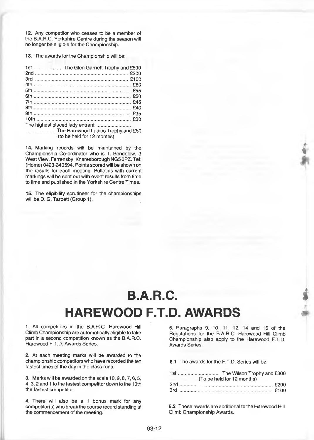12. Any competitor who ceases to be a member of the B.A.R.C. Yorkshire Centre during the season will no longer be eligible tor the Championship.

13. The awards for the Championship will be:

| The Harewood Ladies Trophy and £50<br>(to be held for 12 months) |  |
|------------------------------------------------------------------|--|

14. Marking records will be maintained by the Championship Co-ordinator who is T. Bendelow, 3 West View, Ferrensby, Knaresborough NG50PZ. Tel: (Home) 0423-340594. Points scored will be shown on the results for each meeting. Bulletins with current markings will be sent out with event results from time to time and published in the Yorkshire Centre Times.

15. The eligibility scrutineer for the championships will be D. G. Tarbett (Group 1).

## **B.A.R.C. HAREWOOD F.T.D. AWARDS**

1. All competitors in the B.A.R.C. Harewood Hill Climb Championship are automatically eligible to take part in a second competition known as the B.A.R.C. Harewood F.T.D. Awards Series.

2. At each meeting marks will be awarded to the championship competitors who have recorded the ten fastest times of the day in the class runs.

3. Marks will be awarded on the scale 10,9,8,7,6,5, 4,3,2 and 1 to the fastest competitor down to the 10th the fastest competitor.

4. There will also be a 1 bonus mark for any competitor(s) who break the course record standing at the commencement of the meeting.

5. Paragraphs 9, 10, 11, 12, 14 and 15 of the Regulations for the B.A.R.C. Harewood Hill Climb Championship also apply to the Harewood F.T.D. Awards Series.

*%*

**I**

*&*

6.1 The awards for the F.T.D. Series will be:

| (To be held for 12 months) |  |
|----------------------------|--|
|                            |  |
|                            |  |

6.2 These awards are additional to the Harewood Hill Climb Championship Awards.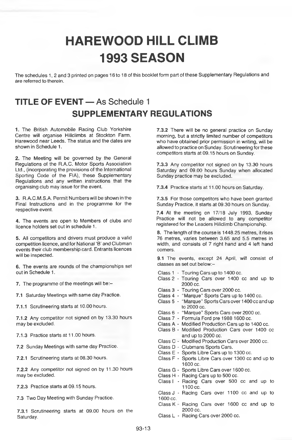## **HAREWOOD HILL CLIMB 1993 SEASON**

The schedules 1, 2 and 3 printed on pages 16 to 18 of this booklet form part of these Supplementary Regulations and are referred to therein.

### **TITLE OF EVENT** — As Schedule 1 **SUPPLEMENTARY REGULATIONS**

1. The British Automobile Racing Club Yorkshire Centre will organise Hillclimbs at Stockton Farm, Harewood near Leeds. The status and the dates are shown in Schedule 1.

2. The Meeting will be governed by the General Regulations of the R.A.C. Motor Sports Association Ltd., (incorporating the provisions of the International Sporting Code of the FIA), these Supplementary Regulations and any written instructions that the organising club may issue for the event.

3. R.A.C.M.S.A. Permit Numbers will be shown in the Final Instructions and in the programme for the respective event.

4. The events are open to Members of clubs and licence holders set out in schedule 1.

5. All competitors and drivers must produce a valid competition licence, and for National 'B' and Clubman events their club membership card. Entrants licences will be inspected.

6. The events are rounds of the championships set out in Schedule 1.

7. The programme of the meetings will be:-

7.1 Saturday Meetings with same day Practice.

7.1.1 Scrutineering starts at 10.00 hours.

7.1.2 Any competitor not signed on by 13.30 hours may be excluded.

7.1.3 Practice starts at 11.00 hours.

7.2 Sunday Meetings with same day Practice.

7.2.1 Scrutineering starts at 08.30 hours.

7.2.2 Any competitor not signed on by 11.30 hours may be excluded.

7.2.3 Practice starts at 09.15 hours.

7.3 Two Day Meeting with Sunday Practice.

7.3.1 Scrutineering starts at 09.00 hours on the Saturday.

**7.3.2** There will be no general practice on Sunday morning, but a strictly limited number of competitors who have obtained prior permission in writing, will be allowed to practice on Sunday. Scrutineering for these competitors starts at 09.15 hours on Sunday.

**7.3.3** Any competitor not signed on by 13.30 hours Saturday and 09.00 hours Sunday when allocated Sunday practice may be excluded.

**7.3.4** Practice starts at 11.00 hours on Saturday.

**7.3.5** For those competitors who have been granted Sunday Practice, it starts at 09.30 hours on Sunday.

**7.4** At the meeting on 17/18 July 1993, Sunday Practice will not be allowed to any competitor registered for the Leaders Hillclimb Championship.

8. The length of the course is 1448.25 metres, it rises 76 metres, varies between 3.65 and 5.5 metres in width, and consists of 7 right hand and 4 left hand corners.

9.1 The events, except 24 April, will consist of classes as set out below:-

Class 1 - Touring Cars up to 1400 cc.

- Class 2 Touring Cars over 1400 cc and up to 2000 cc.
- Class 3 Touring Cars over 2000 cc.
- Class 4 "Marque" Sports Cars up to 1400 cc.
- Class 5 "Marque" Sports Cars over 1400 cc and up to 2000 cc.
- Class 6 "Marque" Sports Cars over 2000 cc.
- Class? Formula Ford pre 1988 1600 cc.
- Class A Modified Production Cars up to 1400 cc.
- Class B Modified Production Cars over 1400 cc and up to 2000 cc.
- Class C Modified Production Cars over 2000 cc.
- Class D Clubmans Sports Cars.
- Class E Sports Libre Cars up to 1300 cc.
- Class F Sports Libre Cars over 1300 cc and up to 1600 cc.
- Class G Sports Libre Cars over 1600 cc.
- Class H Racing Cars up to 500 cc.
- Class I Racing Cars over 500 cc and up to 1100 cc.
- Class J Racing Cars over 1100 cc and up to 1600 cc.
- Class  $K -$  Racing Cars over 1600 cc and up to 2000 cc.
- Class L Racing Cars over 2000 cc.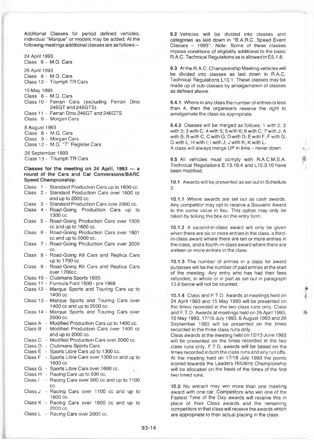Additional Classes for period defined vehicles, individual "Marque" or models may be added. At the following meetings additional classes are as follows:-

24 April 1993 Class 8 - M.G. Cars

25 April 1993 Class 8 - M.G. Cars Class 13 - Triumph TR Cars

15 May 1993

Class 8 - M.G. Cars Class 10 - Ferrari Cars (excluding Ferrari Dino 246GT and 246GTS) Class 11 - Ferrari Dino 246GT and 246GTS Class 9 - Morgan Cars

8 August 1993 Class 8 - M.G. Cars Class 9 - Morgan Cars Class 12 - M.G. "T" Register Cars

26 September 1993 Class 13 - Triumph TR Cars

#### **Classes for the meeting on 24 April, 1993 — a round of the Cars and Car Conversions/BARC Speed Championship.**

- Class 1 Standard Production Cars up to 1600 cc.
- Class 2 Standard Production Cars over 1600 cc and up to 2000 cc.

Class 3 - Standard Production Cars over 2000 cc.

- Class 4 Road-Going Production Cars up to 1300 cc.
- Class 5 Road-Going Production Cars over 1300 ccand up to 1600 cc.
- Class 6 Road-Going Production Cars over 1601 cc and up to 2000 cc.
- Class 7 Road-Going Production Cars over 2000 cc.
- Class 8 Road-Going Kit Cars and Replica Cars up to 1700 cc.
- Class 9 Road-Going Kit Cars and Replica Cars over 1700cc.
- Class 10 Clubmans Sports 1600.
- Class 11 Formula Ford 1600 pre 1988
- Class 12 Marque Sports and Touring Cars up to 1400 cc.
- Class 13 Marque Sports and Touring Cars over 1400 CC and up to 2000 cc.
- Class 14 Marque Sports and Touring Cars over 2000 cc.
- Class A Modified Production Cars up to 1400 cc.
- Class B Modified Production Cars over 1400 cc
- and up to 2000 cc.
- Class C Modified Production Cars over 2000 cc.
- Class D Clubmans Sports Cars
- Class E Sports Libre Cars up to 1300 cc.
- Class F Sports Libre Cars over 1300 cc and up to 1600 cc.
- Class G Sports Libre Cars over 1600 cc.
- Class H Racing Cars up to 500 cc.
- Class I Racing Cars over 500 cc and up to 1100 cc.
- Class J Racing Cars over 1100 cc and up to 1600 cc.
- Class K Racing Cars over 1600 cc and up to 2000 cc.
- Class L Racing Cars over 2000 cc.

**9.2** Vehicles will be divided into classes and categories as laid down in "B.A.R.C. Speed Event Classes - 1993". Note: Some of these classes impose conditions of eligibility additional to the basic R.A.C. Technical Regulations as is allowed in E5.1.8.

**9.3** At the R.A.C. Championship Meeting vehicles will be divided into classes as laid down in R.A.C. Technical Regulations L10.1. These classes may be made up of sub-classes by amalgamation of classes as defined above.

**9.4.1** Where in any class the number of entries is less than 4, then the organisers reserve the right to amalgamate the class as appropriate.

**9.4.2** Classes will be merged as follows: 1 with 2; 2 with 3; 3 with C; 4 with 5; 5 with 6; 6 with C; 7 with J; A with B; B with C; C with G; D with G; E with F; F with G; G with L; H with I; I with J; J with K; K with L. A class will always merge UP in time - never down.

9.5 All vehicles must comply with R.A.C.M.S.A. Technical Regulations E.13.19.4 and L10.3.10 have been modified.

**10.1** Awards will be presented as set out in Schedule 2.

**10.1.1** Where awards are set out as cash awards. Any competitor may opt to receive a Souvenir Award to the same value in lieu. This option may only be taken by ticking the box on the entry form.

**10.1.2** A second-in-class award will only be given when there are six or more entries in the class, a thirdin-class award where there are ten or more entries in the class, and a fourth-in-class award where there are sixteen or more entries in the class.

**10.1.3** The number of entries in a class for award purposes will be the number of paid entries at the start of the meeting. Any entry who has had their fees refunded, in whole or in part as set out in paragraph **13.6** below will not be counted.

**10.1.4** Class and F.T.D. Awards at meetings held on 24 April 1993 and 15 May 1993 will be presented on the times recorded in the two class runs only. Class and F.T.D. Awards at meetings held on 25 April 1993, 16 May 1993,17/18 July 1993,8 August 1993 and 26 September 1993 will be presented on the times recorded in the three class runs only.

*i*

4.

Class awards at the meeting held on 12/13 June 1993 will be presented on the times recorded in the two class runs only. F.T.D. awards will be based on the times recorded in both the class runs and any run offs. At the meeting held on 17/18 July 1993 the points scored towards the Leaders Hillclimb Championship will be allocated on the basis of the times of the first two timed runs.

**10.2** No entrant may win more than one meeting award with one car. Competitors who win one of the Fastest Time of the Day awards will receive this in place of their Class awards and the remaining competitors in that class will receive the awards which are appropriate to their actual placing in the class.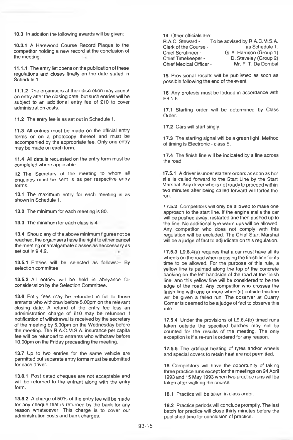10.3 In addition the following awards will be given:-<br>14 Other officials are:<br>15 R.A.C. Steward -

10.3.1 A Harewood Course Record Plaque to the competitor holding a new record at the conclusion of the meeting.

11.1.1 The entry list opens on the publication of these regulations and closes finally on the date stated in Schedule 1.

11.1.2 The organisers at their discretion may accept an entry after the closing date, but such entries will be subject to an additional entry fee of £10 to cover administration costs.

11.2 The entry fee is as set out in Schedule 1.

11.3 All entries must be made on the official entry forms or on a photocopy thereof and must be accompanied by the appropriate fee. Only one entry may be made on each form,

11.4 All details requested on the entry form must be completed where applicable

12 The Secretary of the meeting to whom all enquiries must be sent is as per respective entry forms.

13.1 The maximum entry for each meeting is as shown in Schedule 1.

13.2 The minimum for each meeting is 80.

13.3 The minimum for each class is 4.

13.4 Should any of the above minimum figures not be reached, the organisers have the right to either cancel the meeting or amalgamate classes as neccessary as set out in 9.4.2.

13.5.1 Entries will be selected as follows:- By selection committee.

13.5.2 All entries will be held in abeyance for consideration by the Selection Committee.

13.6 Entry fees may be refunded in full to those entrants who withdraw before 5.00pm on the relevant closing dale. A refund of the entry fee less an administration charge of £10 may be refunded if notification of withdrawal is received by the secretary of the meeting by 5.00pm on the Wednesday before the meeting. The R.A.C.M.S.A. insurance per capita fee will be refunded to entrants who withdraw before 10.00pm on the Friday preceeding the meeting.

13.7 Up to two entries for the same vehicle are permitted but separate entry forms must be submitted for each driver.

13.8.1 Post dated cheques are not acceptable and will be returned to the entrant along with the entry form.

13.8.2 A charge of 50% of the entry fee will be made for any cheque that is returned by the bank for any reason whatsoever. This charge is to cover our administration costs and bank charges.

To be advised by R.A.C.M.S.A.<br>as Schedule 1. Clerk of the Course -<br>Chief Scrutineer -Chief Scrutineer - G. A. Harrison (Group 1)<br>Chief Timekeeper - D. Staveley (Group 2) D. Staveley (Group 2)<br>Mr. F. T. De Dombal Chief Medical Officer -

15 Provisional results will be published as soon as possible following the end of the event.

16 Any protests must be lodged in accordance with EB.1.6.

17.1 Starting order will be determined by Class Order.

17.2 Cars will start singly.

17.3 The starting signal will be a green light. Method of timing is Electronic - class E.

17.4 The finish line will be indicated by a line across the road.

17.5.1 A driver is under starters orders as soon as he/ she is called forward to the Start Line by the Start Marshal. Any driver who is not ready to proceed within two minutes after being called forward will forfeit the run.

17.5.2 Competitors will only be allowed to make one approach to the start line. If the engine stalls the car will be pushed away, restarted and then pushed up to the line. No additional tyre warm ups will be allowed. Any competitor who does not comply with this regulation will be excluded. The Chief Start Marshal will be a judge of fact to adjudicate on this regulation.

17.5.3 L9.8.4(a) requires that a car must have all its wheels on the road when crossing the finish line for its time to be allowed. For the purpose of this rule, a yellow line is painted along the top of the concrete banking on the left handside of the road at the finish line, and this yellow line will be considered to be the edge of the road. Any competitor who crosses the finish line with one or more wheel(s) outside this line will be given a failed run. The observer at Quarry Corner is deemed to be a judge of fact to observe this rule.

17.5.4 Under the provisions of L9.8.4(b) timed runs taken outside the specified batches may not be counted for the results of the meeting. The only exception is if a re-run is ordered for any reason.

17.5.5 The artificial heating of tyres and/or wheels and special covers to retain heat are not permitted.

18 Competitors will have the opportunity of taking three practice runs except for the meetings on 24 April 1993 and 15 May 1993 when two practice runs will be taken after walking the course.

18.1 Practice will be taken in class order.

18.2 Practice periods will conclude promptly. The last batch tor practice will close thirty minutes before the published time for conclusion of practice.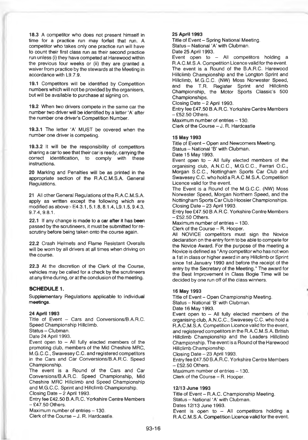18.3 A competitor who does not present himself in time for a practice run may forfeit that run. A competitor who takes only one practice run will have to count their first class run as their second practice run unless (i) they have competed at Harewood within the previous four weeks or (ii) they are granted a waiver from practice by the stewards at the Meeting in accordance with L9.7.9.

19.1 Competitors will be identified by Competition numbers which will not be provided by the organisers, but will be available to purchase at signing on.

19.2 When two drivers compete in the same car the number two driver will be identified by a letter 'A' after the number one driver's Competition Number.

19.3.1 The letter 'A' MUST be covered when the number one driver is competing.

19.3.2 It will be the responsibility of competitors sharing a car to see that their car is ready, carrying the correct identification, to comply with these instructions.

20 Marking and Penalties will be as printed in the appropriate section of the R.A.C.M.S.A. General Regulations.

21 All other General Regulations of the R.A.C.M.S.A. apply as written except the following which are modified as above:- E4.3.1,5.1.8,8.1.4, L9.1.5,9.4.3, 9.74,9.8.1.

22.1 If any change is made to a car after it has been passed by the scrutineers, it must be submitted for rescrutiny before being taken onto the course again.

22.2 Crash Helmets and Flame Resistant Overalls will be worn by all drivers at all times when driving on the course.

22.3 At the discretion of the Clerk of the Course, vehicles may be called for a check by the scrutineers at any time during, or at the conclusion of the meeting.

#### **SCHEDULE 1.**

Supplementary Regulations applicable to individual **meetings.**

#### **24April1993**

Title of Event - Cars and Conversions/B.A.R.C. Speed Championship Hillclimb.

Status-Clubman.

Date 24 April 1993.

Event open to  $-$  All fully elected members of the promoting club, members of the Mid Cheshire MRC, M.G.C.C., Swavesey C.C. and registered competitors in the Cars and Car Conversions/B.A.R.C. Speed Championship.

The event is a Round of the Cars and Car Conversions/B.A.R.C. Speed Championship, Mid Cheshire MRC Hillclimb and Speed Championship and M.G.C.C. Sprint and Hillclimb Championship. Closing Date - 2 April 1993.

Entry fee E42.50 B.A.R.C. Yorkshire Centre Members  $-$  £47.50 Others.

Maximum number of entries  $-130$ .

Clerk of the Course - J. R. Hardcastle.

#### **25 April 1993**

Title of Event - Spring National Meeting. Status - National 'A' with Clubman. Date 25 April 1993.

Event open to  $-$  All competitors holding a R.A.C.M.S.A. Competition Licence valid for the event. The event is a Round of the B.A.R.C. Harewood Hillclimb Championship and the Longton Sprint and Hillclimb, M.G.C.C. (NW) Moss Norwester Speed, and the T.R. Register Sprint and Hillclimb Championship, the Motor Sports Classic's 500 Championships.

Closing Date - 2 April 1993.

Entry fee £47.50 B.A.R.C. Yorkshire Centre Members  $-$ £52.50 Others. Maximum number of entries - 130.

Clerk of the Course - J. R. Hardcastle

#### **15 May 1993**

Title of Event - Open and Newcomers Meeting. Status - National 'B' with Clubman. Date 15 May 1993.

Event open to  $-$  All fully elected members of the organising club, A.N.C.C., M.G.C.C., Ferrari O.C., Morgan S.C.C., Nottingham Sports Car Club and Swavesey C.C. who hold a R.A.C.M.S.A. Competition Licence valid for the event.

The Event is a Round of the M.G.C.C. (NW) Moss Norwester Speed, Morgan Northern Speed, and the Nottingham Sports Car Club Hoosier Championships. Closing Date - 23 April 1993.

Entry fee £47.50 B.A.R.C. Yorkshire Centre Members  $-$ £52.50 Others.

Maximum number of entries - 130.

Clerk of the Course - R. Hooper.

All NOVICE competitors must sign the Novice declaration on the entry form to be able to compete for the Novice Award. For the purpose of the meeting a Novice is defined as "Any competitor who has not won a 1 st in class or higher award in any Hillclimb or Sprint since 1st January 1990 and before the receipt of the entry by the Secretary of the Meeting." The award for the Best Improvement in Class Bogie Time will be decided by one run off of the class winners.

#### **16 May 1993**

Title of Event - Open Championship Meeting. Status - National 'B' with Clubman. Date 16 May 1993.

Event open to  $-$  All fully elected members of the organising club, A.N.C.C., Swavesey C.C. who hold a R.A:C.M.S.A. Competition Licence valid for the event, and registered competitors in the R.A.C.M.S.A. British Hillclimb Championship and the Leaders Hillclimb Championship. The event is a Round of the Harewood Hillclimb Championship.

Closing Date - 23 April 1993.

Entry fee £47.50 B.A.R.C. Yorkshire Centre Members  $-$ £52.50 Others.

Maximum number of entries - 130.

Clerk of the Course - R. Hooper.

#### **12/13 June 1993**

Title of Event - R.A.C. Championship Meeting. Status - National 'A' with Clubman. Dates 12/13 June 1993. Event is open to  $-$  All competitors holding a R.A.C.M.S.A. Competition Licence valid for the event.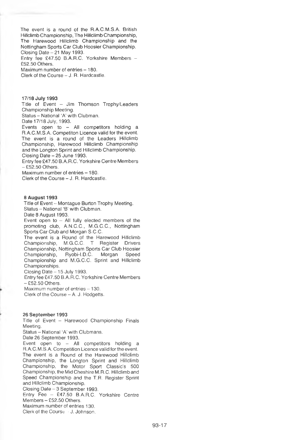The event is a round of the R.A.C.M.S.A. British Hillclimb Championship, The Hillclimb Championship, The Harewood Hillclimb Championship and the Nottingham Sports Car Club Hoosier Championship. Closing Date - 21 May 1993.

Entry fee £47.50 B.A.R.C. Yorkshire Members - E52.50 Others.

Maximum number of entries - 180.

Clerk of the Course - J. R. Hardcastle.

17/18 July 1993

Title of Event - Jim Thomson Trophy/Leaders Championship Meeting.

Status - National 'A' with Clubman.

Date 17/18 July, 1993.

Events open to - All competitors holding a R.A.C.M.S.A. Competiton Licence valid for the event. The event is a round of the Leaders Hillclimb Championship, Harewood Hillclimb Championship and the Longton Sprint and Hillclimb Championship. Closing Date - 25 June 1993.

Entry fee £47.50 B.A.R.C. Yorkshire Centre Members  $-$  £52.50 Others.

Maximum number of entries - 180. Clerk of the Course - J. R. Hardcastle.

#### **a** August **1993**

Title of Event - Montague Burton Trophy Meeting. Status - National 'B' with Clubman.

Date 8 August 1993.

Event open to – All fully elected members of the<br>promoting club, A.N.C.C., M.G.C.C., Nottingham Sports Car Club and Morgan S.C.C.

The event is a Round of the Harewood Hillclimb Championship, M.G.C.C. T Register Drivers Championship, Nottingham Sports Car Club Hoosier Ryobi-I.D.C. Morgan Championship and M.G.C.C. Sprint and Hillclimb Championships.

Closing Date - 15 July 1993.

Entry fee £47.50 B.A.R.C. Yorkshire Centre Members  $-$  £52.50 Others.

Maximum number of entries  $-130$ .

Clerk of the Course - A. J. Hodgetts.

#### 26 September 1993

Title of Event - Harewood Championship Finals Meeting.

Status - National 'A' with Clubmans.

Date 26 September 1993.

Event open to  $-$  All competitors holding a R.A.C.M.S.A. Competition Licence valid for the event. The event is a Round of the Harewood Hillclimb Championship, the Longton Sprint and Hillclimb Championship, the Motor Sport Classic's 500 Championship, the Mid Cheshire M.R.C. Hillclimb and Speed Championship and the T.R. Register Sprint and Hillclimb Championship.

Closing Date - 3 September 1993.

Entry Fee - £47.50 B.A.R.C. Yorkshire Centre Members - £52.50 Others.

Maximum number of entries 130.

Clerk of the Course - J. Johnson.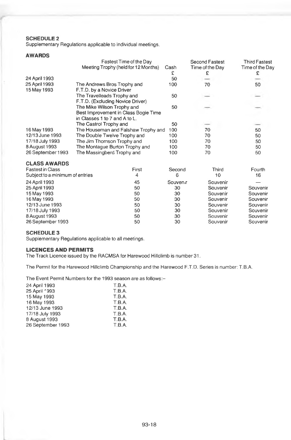#### **SCHEDULE 2**

Supplementary Regulations applicable to individual meetings.

#### **AWARDS**

|                                 | Fastest Time of the Day              |                     | Second Fastest  | Third Fastest   |
|---------------------------------|--------------------------------------|---------------------|-----------------|-----------------|
|                                 | Meeting Trophy (held for 12 Months)  | Cash                | Time of the Day | Time of the Day |
|                                 |                                      | £                   | £               | £               |
| 24 April 1993                   |                                      | 50                  |                 |                 |
| 25 April 1993                   | The Andrews Bros Trophy and          | 100                 | 70              | 50              |
| 15 May 1993                     | F.T.D. by a Novice Driver            |                     |                 |                 |
|                                 | The Travelleads Trophy and           | 50                  |                 |                 |
|                                 | F.T.D. (Excluding Novice Driver)     |                     |                 |                 |
|                                 | The Mike Wilson Trophy and           | 50                  |                 |                 |
|                                 | Best Improvement in Class Bogie Time |                     |                 |                 |
|                                 | in Classes 1 to 7 and A to L.        |                     |                 |                 |
|                                 | The Castrol Trophy and               | 50                  |                 |                 |
| 16 May 1993                     | The Houseman and Falshaw Trophy and  | 100                 | 70              | 50              |
| 12/13 June 1993                 | The Double Twelve Trophy and         | 100                 | 70              | 50              |
| 17/18 July 1993                 | The Jim Thomson Trophy and           | 100                 | 70              | 50              |
| 8 August 1993                   | The Montague Burton Trophy and       | 100                 | 70              | 50              |
| 26 September 1993               | The Massingberd Trophy and           | 100                 | 70              | 50              |
| <b>CLASS AWARDS</b>             |                                      |                     |                 |                 |
| <b>Fastest in Class</b>         | First                                | Second              | Third           | Fourth          |
| Subject to a minimum of entries | 4                                    | 6                   | 10              | 16              |
| 24 April 1993                   | 45                                   | Souven <sub>r</sub> | Souvenir        |                 |
| 25 April 1993                   | 50                                   | 30                  | Souvenir        | Souvenir        |
| 15 May 1993                     | 50                                   | 30                  | Souvenir        | Souvenir        |
| 16 May 1993                     | 50                                   | 30                  | Souvenir        | Souvenir        |
| 12/13 June 1993                 | 50                                   | 30                  | Souvenir        | Souvenir        |
| 17/18 July 1993                 | 50                                   | 30                  | Souvenir        | Souvenir        |
| 8 August 1993                   | 50                                   | 30                  | Souvenir        | Souvenir        |

#### **SCHEDULE 3**

Supplementary Regulations applicable to all meetings.

#### **LICENCES AND PERMITS**

The Track Licence issued by the RACMSA for Harewood Hillclimb is number 31.

The Permit for the Harewood Hillclimb Championship and the Harewood F.T.D. Series is number: T.B.A.

26 September 1993 50 30 Souvenir Souvenir

The Event Permit Numbers for the 1993 season are as follows:-

| 24 April 1993     | T.B.A. |
|-------------------|--------|
| 25 April 1993     | T.B.A. |
| 15 May 1993       | T.B.A. |
| 16 May 1993       | T.B.A. |
| 12/13 June 1993   | T.B.A. |
| 17/18 July 1993   | T.B.A. |
| 8 August 1993     | T.B.A. |
| 26 September 1993 | T.B.A. |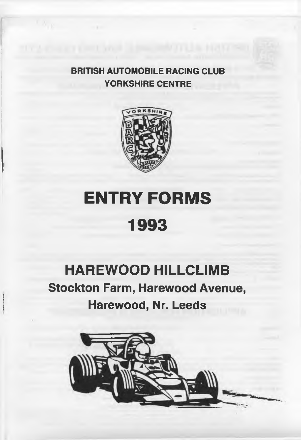**BRITISH AUTOMOBILE RACING CLUB YORKSHIRE CENTRE**



# **ENTRY FORMS 1993**

## **HAREWOOD HILLCLIMB Stockton Farm, Harewood Avenue, Harewood, Nr. Leeds**

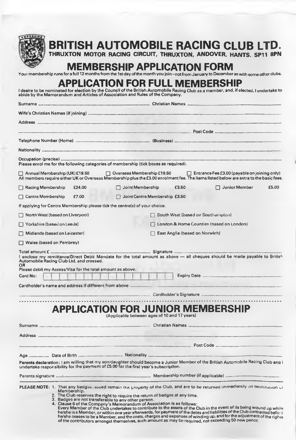

### **BRITISH AUTOMOBILE RACING CLUB LTD.**

**THRUXTON MOTOR RACING CIRCUIT, THRUXTON, ANDOVER. HANTS. SP11 8PN**

### **MEMBERSHIP APPLICATION FORM**

Your membership runs for a full 12 months from the 1st day of the month you join-not from January to December as with some other clubs.

### **APPLICATION FOR FULL MEMBERSHIP**

| I desire to be nominated for election by the Council of the British Automobile Racing Club as a member, and, if elected, I undertake to |
|-----------------------------------------------------------------------------------------------------------------------------------------|
| abide by the Memorandum and Articles of Association and Rules of the Company.                                                           |

| Please enrol me for the following categories of membership (tick boxes as required).                                                                                                                                                                   |                                                                                          |                                   |                                                     |       |
|--------------------------------------------------------------------------------------------------------------------------------------------------------------------------------------------------------------------------------------------------------|------------------------------------------------------------------------------------------|-----------------------------------|-----------------------------------------------------|-------|
| □ Annual Membership (UK) £19.50<br>All members require either UK or Overseas Membership plus the £3.00 enrolment fee. The items listed below are extra to the basic fees.                                                                              | $\Box$ Overseas Membership £19.50                                                        |                                   | $\Box$ Entrance Fee £3.00 (payable on joining only) |       |
| Racing Membership<br>£24.00                                                                                                                                                                                                                            | Joint Membership                                                                         | £3.50                             | $\Box$ Junior Member                                | £5.00 |
| $\Box$ Centre Membership<br>£7.00                                                                                                                                                                                                                      | Joint Centre Membership £3.50                                                            |                                   |                                                     |       |
| If applying for Centre Membership please tick the centre(s) of your choice.                                                                                                                                                                            |                                                                                          |                                   |                                                     |       |
| $\Box$ North West (based on Liverpool)                                                                                                                                                                                                                 |                                                                                          | South West (based on Southampton) |                                                     |       |
| $\Box$ Yorkshire (based on Leeds)                                                                                                                                                                                                                      |                                                                                          |                                   | London & Home Counties (based on London)            |       |
| Midlands (based on Leicester)                                                                                                                                                                                                                          | East Anglia (based on Norwich)                                                           |                                   |                                                     |       |
| $\Box$ Wales (based on Pembrey)                                                                                                                                                                                                                        |                                                                                          |                                   |                                                     |       |
| I enclose my remittance/Direct Debit Mandate for the total amount as above - all cheques should be made payable to British<br>Automobile Racing Club Ltd. and crossed.<br>ΩR<br>Please debit my Access/Visa for the total amount as above.<br>Card No: |                                                                                          |                                   |                                                     |       |
|                                                                                                                                                                                                                                                        |                                                                                          |                                   |                                                     |       |
|                                                                                                                                                                                                                                                        |                                                                                          |                                   |                                                     |       |
|                                                                                                                                                                                                                                                        | <b>APPLICATION FOR JUNIOR MEMBERSHIP</b><br>(Applicable between ages of 10 and 17 years) |                                   |                                                     |       |
|                                                                                                                                                                                                                                                        |                                                                                          |                                   |                                                     |       |
|                                                                                                                                                                                                                                                        |                                                                                          |                                   |                                                     |       |
|                                                                                                                                                                                                                                                        |                                                                                          |                                   |                                                     |       |
|                                                                                                                                                                                                                                                        |                                                                                          |                                   |                                                     |       |
| Parents declaration: I am willing that my son/daughter should become a Junior Member of the British Automobile Racing Club and I<br>undertake responsibility for the payment of £5.00 for the first year's subscription.                               |                                                                                          |                                   |                                                     |       |
|                                                                                                                                                                                                                                                        |                                                                                          |                                   |                                                     |       |

- **Membership. 2. The Club reserves the right to require the return of badges at any time.**
- 
- 

3. Badges are not transferable to any other person.<br>A. Clause 6 of the Company's Memorandum of Association is as follows:<br>Every Member of the Club undertakes to contribute to the assets of the Club in the event of its bei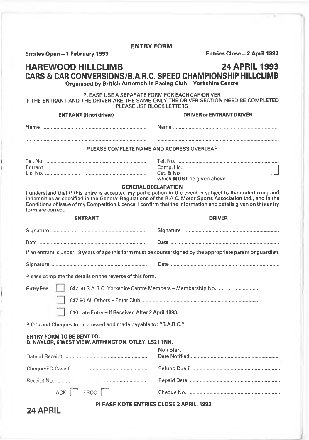**Entries Open - 1 February 1993 Entries Close - 2 April 1993**

#### **HAREWOOD HILLCLIMB 24 APRIL 1993 CARS & CAR CONVERSIONS/B.A.R.C. SPEED CHAMPIONSHIP HILLCLIMB Organised by British Automobile Racing Club - Yorkshire Centre**

PLEASE USE A SEPARATE FORM FOR EACH CAR/DRIVER IF THE ENTRANT AND THE DRIVER ARE THE SAME ONLY THE DRIVER SECTION NEED BE COMPLETED PLEASE USE BLOCK LETTERS

#### **ENTRANT (if not driver) DRIVER or ENTRANT DRIVER**

Name ............................................................................ N am e............................................................................. PLEASE COMPLETE NAME AND ADDRESS OVERLEAF Tel. No............................................................................ Tel. No......

| Entrant |  |
|---------|--|
|         |  |
|         |  |

**24 APRIL**

Comp. Lic. Cat. & No... which **MUST** be given above.

#### **GENERAL DECLARATION**

I understand that if this entry is accepted my participation in the event is subject to the undertaking and indemnities as specified in the General Regulations of the R.A.C. Motor Sports Association Ltd., and in the Conditions of Issue of my Competition Licence. I confirm that the information and details given on this entry form are correct.

**ENTRANT DRIVER** 

| If an entrant is under 18 years of age this form must be countersigned by the appropriate parent or guardian. |                                                           |  |
|---------------------------------------------------------------------------------------------------------------|-----------------------------------------------------------|--|
|                                                                                                               |                                                           |  |
| Please complete the details on the reverse of this form.                                                      |                                                           |  |
| <b>Entry Fee</b>                                                                                              | £42.50 B.A.R.C. Yorkshire Centre Members - Membership No. |  |
|                                                                                                               |                                                           |  |
| £10 Late Entry - If Received After 2 April 1993.                                                              |                                                           |  |
| P.O.'s and Cheques to be crossed and made payable to: "B.A.R.C."                                              |                                                           |  |
| <b>ENTRY FORM TO BE SENT TO:</b><br>D. NAYLOR, 6 WEST VIEW, ARTHINGTON, OTLEY, LS21 1NN.                      |                                                           |  |
|                                                                                                               | Non Start                                                 |  |
|                                                                                                               |                                                           |  |
|                                                                                                               |                                                           |  |
| $ $ PROC $ $<br>ACK                                                                                           |                                                           |  |
| <b>PLEASE NOTE ENTRIES CLOSE 2 APRIL. 1993</b>                                                                |                                                           |  |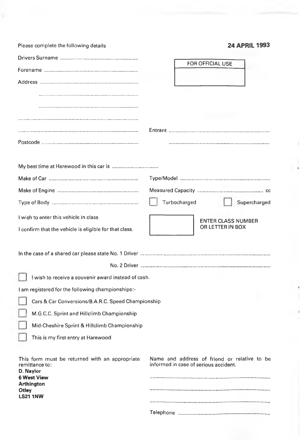| Please complete the following details                            | 24 APRIL 1993                                                                         |
|------------------------------------------------------------------|---------------------------------------------------------------------------------------|
|                                                                  |                                                                                       |
|                                                                  | FOR OFFICIAL USE                                                                      |
|                                                                  |                                                                                       |
|                                                                  |                                                                                       |
|                                                                  |                                                                                       |
|                                                                  |                                                                                       |
|                                                                  |                                                                                       |
|                                                                  |                                                                                       |
|                                                                  |                                                                                       |
|                                                                  |                                                                                       |
|                                                                  |                                                                                       |
|                                                                  | Turbocharged<br>Supercharged                                                          |
| I wish to enter this vehicle in class                            | <b>ENTER CLASS NUMBER</b>                                                             |
| I confirm that the vehicle is eligible for that class.           | OR LETTER IN BOX                                                                      |
|                                                                  |                                                                                       |
|                                                                  |                                                                                       |
| I wish to receive a souvenir award instead of cash.              |                                                                                       |
| I am registered for the following championships:-                |                                                                                       |
| Cars & Car Conversions/B.A.R.C. Speed Championship               |                                                                                       |
| M.G.C.C. Sprint and Hillclimb Championship                       |                                                                                       |
| Mid-Cheshire Sprint & Hillclimb Championship                     |                                                                                       |
| This is my first entry at Harewood                               |                                                                                       |
| This form must be returned with an appropriate<br>remittance to: | Name and address of friend or relative to be<br>informed in case of serious accident. |
| D. Naylor<br><b>6 West View</b>                                  |                                                                                       |
| <b>Arthington</b><br><b>Otley</b>                                |                                                                                       |
| <b>LS21 1NW</b>                                                  |                                                                                       |
|                                                                  |                                                                                       |

 $\ddot{\phantom{a}}$ 

ł

 $\rightarrow$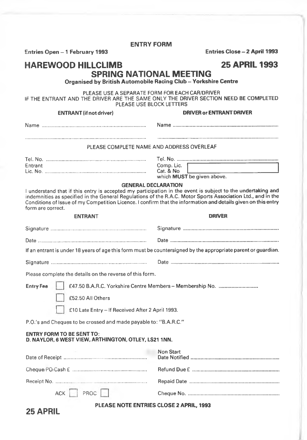**Entries Open - 1 February 1993 Entries Close - 2 April 1993**

### **HAREWOOD HILLCLIMB 25 APRIL 1993 SPRING NATIONAL MEETING**

**Organised by British Automobile Racing Club - Yorkshire Centre** 

PLEASE USE A SEPARATE FORM FOR EACH CAR/DRIVER IF THE ENTRANT AND THE DRIVER ARE THE SAME ONLY THE DRIVER SECTION NEED BE COMPLETED PLEASE USE BLOCK LETTERS

#### **ENTRANT (if not driver) DRIVER or ENTRANT DRIVER**

Name ............................................................................ Nam e............................................................................. PLEASE COMPLETE NAME AND ADDRESS OVERLEAF Tel. No............................................................................ Tel. No....... Entrant Comp. Lie. Lie. No............................................................................ Cat. & No

whieh **MUST** be given above.

#### **GENERAL DECLARATION**

I understand that if this entry is accepted my participation in the event is subject to the undertaking and indemnities as specified in the General Regulations of the R.A.C. Motor Sports Assoeiation Ltd., and in the Conditions of Issue of my Competition Licenee. I eonfirm that the information and details given on this entry form are eorrect.

| <b>ENTRANT</b>                                                                                                | <b>DRIVER</b>                                             |  |
|---------------------------------------------------------------------------------------------------------------|-----------------------------------------------------------|--|
|                                                                                                               |                                                           |  |
|                                                                                                               |                                                           |  |
| If an entrant is under 18 years of age this form must be countersigned by the appropriate parent or guardian. |                                                           |  |
|                                                                                                               |                                                           |  |
| Please complete the details on the reverse of this form.                                                      |                                                           |  |
| <b>Entry Fee</b>                                                                                              | £47.50 B.A.R.C. Yorkshire Centre Members - Membership No. |  |
| £52.50 All Others                                                                                             |                                                           |  |
| £10 Late Entry - If Received After 2 April 1993.                                                              |                                                           |  |
| P.O.'s and Cheques to be crossed and made payable to: "B.A.R.C."                                              |                                                           |  |
| <b>ENTRY FORM TO BE SENT TO:</b><br>D. NAYLOR, 6 WEST VIEW, ARTHINGTON, OTLEY, LS21 1NN.                      |                                                           |  |
|                                                                                                               | Non Start                                                 |  |
|                                                                                                               |                                                           |  |
|                                                                                                               |                                                           |  |
| ACK     PROC                                                                                                  |                                                           |  |

#### **PLEASE NOTE ENTRIES CLOSE 2 APRIL. 1993**

|  |  | <b>25 APRIL</b> |
|--|--|-----------------|
|--|--|-----------------|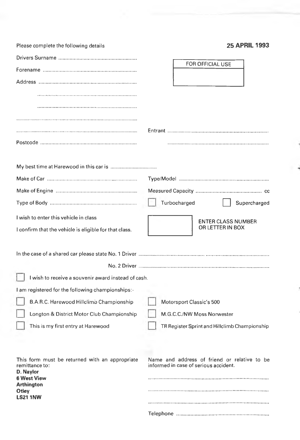| Please complete the following details                            | <b>25 APRIL 1993</b>                                                                  |
|------------------------------------------------------------------|---------------------------------------------------------------------------------------|
|                                                                  | FOR OFFICIAL USE                                                                      |
|                                                                  |                                                                                       |
|                                                                  |                                                                                       |
|                                                                  |                                                                                       |
|                                                                  |                                                                                       |
|                                                                  |                                                                                       |
|                                                                  |                                                                                       |
|                                                                  |                                                                                       |
|                                                                  |                                                                                       |
|                                                                  |                                                                                       |
|                                                                  |                                                                                       |
|                                                                  | Turbocharged<br>Supercharged                                                          |
| I wish to enter this vehicle in class                            | <b>ENTER CLASS NUMBER</b>                                                             |
| I confirm that the vehicle is eligible for that class.           | OR LETTER IN BOX                                                                      |
|                                                                  |                                                                                       |
|                                                                  |                                                                                       |
| I wish to receive a souvenir award instead of cash.              |                                                                                       |
| I am registered for the following championships:-                |                                                                                       |
| B.A.R.C. Harewood Hillclimo Championship                         | Motorsport Classic's 500                                                              |
| Longton & District Motor Club Championship                       | M.G.C.C./NW Moss Norwester                                                            |
| This is my first entry at Harewood                               | TR Register Sprint and Hillclimb Championship                                         |
|                                                                  |                                                                                       |
|                                                                  |                                                                                       |
| This form must be returned with an appropriate<br>remittance to: | Name and address of friend or relative to be<br>informed in case of serious accident. |
| D. Naylor<br><b>6 West View</b>                                  |                                                                                       |
| <b>Arthington</b><br>Otley                                       |                                                                                       |
| <b>LS21 1NW</b>                                                  |                                                                                       |
|                                                                  |                                                                                       |

 $\frac{1}{2}$ 

ł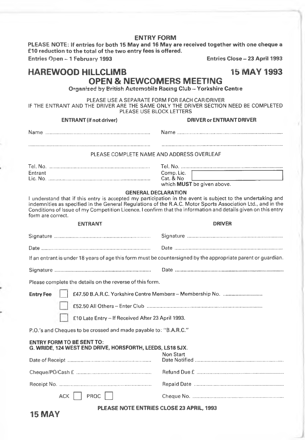PLEASE NOTE: If entries for both 15 May and 16 May are received together with one cheque a £10 reduction to the total of the two entry fees is offered.

**Entries Open - 1 February 1993 Entries Close - 23 April 1993**

**15 MAY**

### **HAREWOOD HILLCLIMB** 15 MAY 1993 **OPEN & NEWCOMERS MEETING**

**Organised by British Automobils Racing Club - Yorkshire Centre** 

PLEASE USE A SEPARATE FORM FOR EACH CAR/DRIVER IF THE ENTRANT AND THE DRIVER ARE THE SAME ONLY THE DRIVER SECTION NEED BE COMPLETED PLEASE USE BLOCK LETTERS

| <b>ENTRANT</b> (if not driver)                                                                                                                                                                                                                                                                                                                                                                 | <b>DRIVER or ENTRANT DRIVER</b>                       |
|------------------------------------------------------------------------------------------------------------------------------------------------------------------------------------------------------------------------------------------------------------------------------------------------------------------------------------------------------------------------------------------------|-------------------------------------------------------|
|                                                                                                                                                                                                                                                                                                                                                                                                |                                                       |
| PLEASE COMPLETE NAME AND ADDRESS OVERLEAF                                                                                                                                                                                                                                                                                                                                                      |                                                       |
| Entrant                                                                                                                                                                                                                                                                                                                                                                                        | Comp. Lic.<br>Cat. & No<br>which MUST be given above. |
| <b>GENERAL DECLARATION</b><br>I understand that if this entry is accepted my participation in the event is subject to the undertaking and<br>indemnities as specified in the General Regulations of the R.A.C. Motor Sports Association Ltd., and in the<br>Conditions of Issue of my Competition Licence. I confirm that the information and details given on this entry<br>form are correct. |                                                       |
| <b>ENTRANT</b>                                                                                                                                                                                                                                                                                                                                                                                 | <b>DRIVER</b>                                         |
|                                                                                                                                                                                                                                                                                                                                                                                                |                                                       |
|                                                                                                                                                                                                                                                                                                                                                                                                |                                                       |
| If an entrant is under 18 years of age this form must be countersigned by the appropriate parent or guardian.                                                                                                                                                                                                                                                                                  |                                                       |
|                                                                                                                                                                                                                                                                                                                                                                                                |                                                       |
| Please complete the details on the reverse of this form.                                                                                                                                                                                                                                                                                                                                       |                                                       |
| <b>Entry Fee</b>                                                                                                                                                                                                                                                                                                                                                                               |                                                       |
|                                                                                                                                                                                                                                                                                                                                                                                                |                                                       |
| £10 Late Entry - If Received After 23 April 1993.                                                                                                                                                                                                                                                                                                                                              |                                                       |
| P.O.'s and Cheques to be crossed and made payable to: "B.A.R.C."                                                                                                                                                                                                                                                                                                                               |                                                       |
| <b>ENTRY FORM TO BE SENT TO:</b><br>G. WRIDE. 124 WEST END DRIVE, HORSFORTH, LEEDS, LS18 5JX.<br>Non Start                                                                                                                                                                                                                                                                                     |                                                       |
|                                                                                                                                                                                                                                                                                                                                                                                                |                                                       |
|                                                                                                                                                                                                                                                                                                                                                                                                |                                                       |
| ACK     PROC                                                                                                                                                                                                                                                                                                                                                                                   |                                                       |
| PLEASE NOTE ENTRIES CLOSE 23 APRIL, 1993                                                                                                                                                                                                                                                                                                                                                       |                                                       |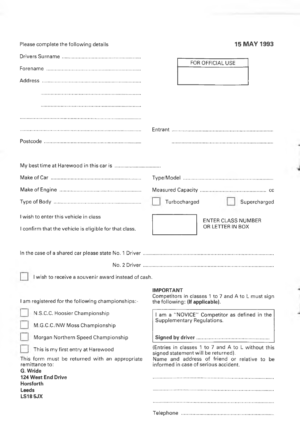| Please complete the following details                            | 15 MAY 1993                                                                               |
|------------------------------------------------------------------|-------------------------------------------------------------------------------------------|
|                                                                  |                                                                                           |
|                                                                  | FOR OFFICIAL USE                                                                          |
|                                                                  |                                                                                           |
|                                                                  |                                                                                           |
|                                                                  |                                                                                           |
|                                                                  |                                                                                           |
|                                                                  |                                                                                           |
|                                                                  |                                                                                           |
|                                                                  |                                                                                           |
|                                                                  |                                                                                           |
|                                                                  |                                                                                           |
|                                                                  |                                                                                           |
|                                                                  | Turbocharged<br>Supercharged                                                              |
| I wish to enter this vehicle in class                            | <b>ENTER CLASS NUMBER</b>                                                                 |
| I confirm that the vehicle is eligible for that class.           | OR LETTER IN BOX                                                                          |
|                                                                  |                                                                                           |
|                                                                  |                                                                                           |
| I wish to receive a souvenir award instead of cash.              |                                                                                           |
|                                                                  | <b>IMPORTANT</b>                                                                          |
| I am registered for the following championships:-                | Competitors in classes 1 to 7 and A to L must sign<br>the following: (If applicable).     |
| N.S.C.C. Hoosier Championship                                    | I am a "NOVICE" Competitor as defined in the                                              |
| M.G.C.C./NW Moss Championship                                    | Supplementary Regulations.                                                                |
| Morgan Northern Speed Championship                               |                                                                                           |
| This is my first entry at Harewood                               | (Entries in classes 1 to 7 and A to L without this<br>signed statement will be returned). |
| This form must be returned with an appropriate<br>remittance to: | Name and address of friend or relative to be<br>informed in case of serious accident.     |
| G. Wride<br><b>124 West End Drive</b>                            |                                                                                           |
| <b>Horsforth</b><br>Leeds                                        |                                                                                           |
| <b>LS18 5JX</b>                                                  |                                                                                           |
|                                                                  |                                                                                           |

 $\lambda$ 

ł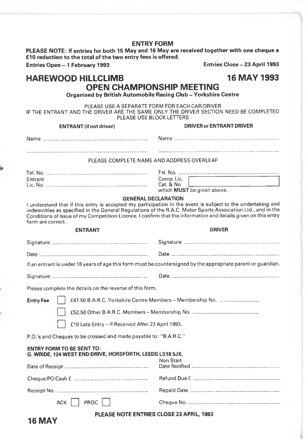PLEASE NOTE: If entries for both 15 May and 16 May are received together with one cheque a £10 reduction to the total of the two entry fees is offered.

**Entries Open - 1 February 1993 Entries Close - 23 April 1993**

### **HAREWOOD HILLCLIMB** 16 MAY 1993

### **OPEN CHAMPIONSHIP MEETING**

**Organised by British Automobile Racing Club - Yorkshire Centre** 

PLEASE USE A SEPARATE FORM FOR EACH CAR/DRIVER IF THE ENTRANT AND THE DRIVER ARE THE SAME ONLY THE DRIVER SECTION NEED BE COMPLETED

| <b>PLEASE USE BLOCK LETTERS</b>                                                                                                                                                                                                                                                                                                                                                                |                                                        |  |
|------------------------------------------------------------------------------------------------------------------------------------------------------------------------------------------------------------------------------------------------------------------------------------------------------------------------------------------------------------------------------------------------|--------------------------------------------------------|--|
| <b>ENTRANT</b> (if not driver)                                                                                                                                                                                                                                                                                                                                                                 | <b>DRIVER or ENTRANT DRIVER</b>                        |  |
|                                                                                                                                                                                                                                                                                                                                                                                                |                                                        |  |
| PLEASE COMPLETE NAME AND ADDRESS OVERLEAF                                                                                                                                                                                                                                                                                                                                                      |                                                        |  |
| Entrant                                                                                                                                                                                                                                                                                                                                                                                        | Comp. Lic.<br>Cat. & No.<br>which MUST be given above. |  |
| <b>GENERAL DECLARATION</b><br>I understand that if this entry is accepted my participation in the event is subject to the undertaking and<br>indemnities as specified in the General Regulations of the R.A.C. Motor Sports Association Ltd., and in the<br>Conditions of Issue of my Competition Licence. I confirm that the information and details given on this entry<br>form are correct. |                                                        |  |
| <b>ENTRANT</b>                                                                                                                                                                                                                                                                                                                                                                                 | <b>DRIVER</b>                                          |  |
|                                                                                                                                                                                                                                                                                                                                                                                                |                                                        |  |
|                                                                                                                                                                                                                                                                                                                                                                                                |                                                        |  |
| If an entrant is under 18 years of age this form must be countersigned by the appropriate parent or guardian.                                                                                                                                                                                                                                                                                  |                                                        |  |
|                                                                                                                                                                                                                                                                                                                                                                                                |                                                        |  |
| Please complete the details on the reverse of this form.                                                                                                                                                                                                                                                                                                                                       |                                                        |  |
| <b>Entry Fee</b>                                                                                                                                                                                                                                                                                                                                                                               |                                                        |  |
|                                                                                                                                                                                                                                                                                                                                                                                                |                                                        |  |
| £10 Late Entry - If Received After 23 April 1993.                                                                                                                                                                                                                                                                                                                                              |                                                        |  |
| P.O.'s and Cheques to be crossed and made payable to: "B.A.R.C."                                                                                                                                                                                                                                                                                                                               |                                                        |  |
| <b>ENTRY FORM TO BE SENT TO:</b><br>G. WRIDE, 124 WEST END DRIVE, HORSFORTH, LEEDS LS18 5JX.                                                                                                                                                                                                                                                                                                   | Non Start                                              |  |
|                                                                                                                                                                                                                                                                                                                                                                                                |                                                        |  |
|                                                                                                                                                                                                                                                                                                                                                                                                |                                                        |  |
| $ACK \mid \text{PROC} \mid \text{ }$                                                                                                                                                                                                                                                                                                                                                           |                                                        |  |
| PLEASE NOTE ENTRIES CLOSE 23 APRIL, 1993                                                                                                                                                                                                                                                                                                                                                       |                                                        |  |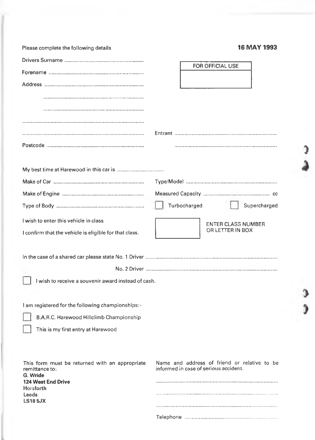|  |  | <b>16 MAY 1993</b> |
|--|--|--------------------|
|--|--|--------------------|

**)**

0

 $\mathbf{r}$ 

| Please complete the following details                  | 16 MAY 1993                                   |
|--------------------------------------------------------|-----------------------------------------------|
|                                                        | FOR OFFICIAL USE                              |
|                                                        |                                               |
|                                                        |                                               |
|                                                        |                                               |
|                                                        |                                               |
|                                                        |                                               |
|                                                        |                                               |
|                                                        |                                               |
|                                                        |                                               |
|                                                        |                                               |
|                                                        |                                               |
|                                                        |                                               |
|                                                        | Turbocharged<br>Supercharged                  |
| I wish to enter this vehicle in class                  |                                               |
| I confirm that the vehicle is eligible for that class. | <b>ENTER CLASS NUMBER</b><br>OR LETTER IN BOX |
|                                                        |                                               |
|                                                        |                                               |
|                                                        |                                               |
| I wish to receive a souvenir award instead of cash.    |                                               |
|                                                        |                                               |
| I am registered for the following championships:-      |                                               |
| B.A.R.C. Harewood Hillclimb Championship               |                                               |
| This is my first entry at Harewood                     |                                               |
|                                                        |                                               |
|                                                        |                                               |
| This form must be returned with an appropriate         | Name and address of friend or relative to be  |
| remittance to:<br>G. Wride                             | informed in case of serious accident.         |
| <b>124 West End Drive</b><br><b>Horsforth</b>          |                                               |
| <b>Leeds</b><br><b>LS18 5JX</b>                        |                                               |
|                                                        |                                               |
|                                                        |                                               |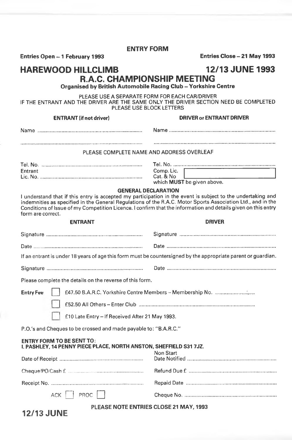**Entries Open - 1 February 1993 Entries Close - 21 May 1993** 

**ENTRY FORM**

### **HAREWOOD HILLCLIMB 12/13 JUNE 1993 R.A.C. CHAMPIONSHIP MEETING**

**Organised by British Automobile Racing Club - Yorkshire Centre** 

PLEASE USE A SEPARATE FORM FOR EACH CAR/DRIVER IF THE ENTRANT AND THE DRIVER ARE THE SAME ONLY THE DRIVER SECTION NEED BE COMPLETED PLEASE USE BLOCK LETTERS

**ENTRANT (if not driver) DRIVER or ENTRANT DRIVER**

|--|--|

#### PLEASE COMPLETE NAME AND ADDRESS OVERLEAF

| Tel. No. |                            |
|----------|----------------------------|
| Entrant  | Comp. Lic.                 |
|          | Cat. & No.                 |
|          | which MUST be given above. |

#### **GENERAL DECLARATION**

I understand that if this entry is accepted my participation in the event is subject to the undertaking and indemnities as specified in the General Regulations of the R.A.C. Motor Sports Association Ltd., and in the Conditions of Issue of my Competition Licence. I confirm that the information and details given on this entry form are correct.

#### **ENTRANT DRIVER**

| If an entrant is under 18 years of age this form must be countersigned by the appropriate parent or guardian. |           |  |
|---------------------------------------------------------------------------------------------------------------|-----------|--|
|                                                                                                               |           |  |
| Please complete the details on the reverse of this form.                                                      |           |  |
| <b>Entry Fee</b>                                                                                              |           |  |
|                                                                                                               |           |  |
| £10 Late Entry - If Received After 21 May 1993.                                                               |           |  |
| P.O.'s and Cheques to be crossed and made payable to: "B.A.R.C."                                              |           |  |
| <b>ENTRY FORM TO BE SENT TO:</b><br>I. PASHLEY, 14 PENNY PIECE PLACE, NORTH ANSTON, SHEFFIELD S31 7JZ.        |           |  |
|                                                                                                               | Non Start |  |
|                                                                                                               |           |  |
|                                                                                                               |           |  |
| ACK     PROC                                                                                                  |           |  |
| <b>PLEASE NOTE ENTRIES CLOSE 21 MAY, 1993</b>                                                                 |           |  |

**12/13 JUNE**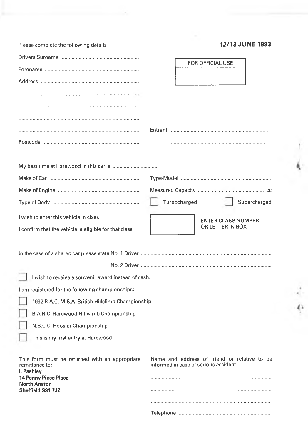| Please complete the following details                                         | <b>12/13 JUNE 1993</b>                                                                |
|-------------------------------------------------------------------------------|---------------------------------------------------------------------------------------|
|                                                                               | FOR OFFICIAL USE                                                                      |
|                                                                               |                                                                                       |
|                                                                               |                                                                                       |
|                                                                               |                                                                                       |
|                                                                               |                                                                                       |
|                                                                               |                                                                                       |
|                                                                               |                                                                                       |
|                                                                               |                                                                                       |
|                                                                               |                                                                                       |
|                                                                               |                                                                                       |
|                                                                               |                                                                                       |
|                                                                               |                                                                                       |
|                                                                               |                                                                                       |
|                                                                               | Turbocharged<br>Supercharged                                                          |
| I wish to enter this vehicle in class                                         | <b>ENTER CLASS NUMBER</b>                                                             |
| I confirm that the vehicle is eligible for that class.                        | OR LETTER IN BOX                                                                      |
|                                                                               |                                                                                       |
|                                                                               |                                                                                       |
|                                                                               |                                                                                       |
| I wish to receive a souvenir award instead of cash.                           |                                                                                       |
| I am registered for the following championships:-                             |                                                                                       |
| 1992 R.A.C. M.S.A. British Hillclimb Championship                             |                                                                                       |
| B.A.R.C. Harewood Hillclimb Championship                                      |                                                                                       |
| N.S.C.C. Hoosier Championship                                                 |                                                                                       |
| This is my first entry at Harewood                                            |                                                                                       |
|                                                                               |                                                                                       |
| This form must be returned with an appropriate<br>remittance to:<br>L Pashlev | Name and address of friend or relative to be<br>informed in case of serious accident. |
| <b>14 Penny Piece Place</b><br><b>North Anston</b>                            |                                                                                       |
| Sheffield S31 7JZ                                                             |                                                                                       |
|                                                                               |                                                                                       |
|                                                                               |                                                                                       |

 $\frac{1}{2}$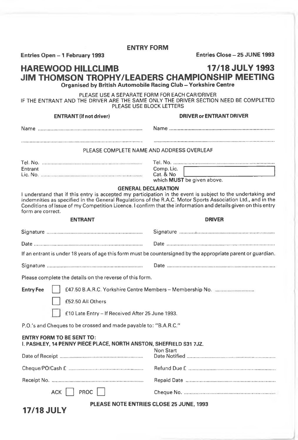**Entries Open - 1 February 1993 Entries Close - 25 JUNE 1993**

**17/18 JULY**

#### **HAREWOOD HILLCLIMB 17/18 JULY 1993 JIM THOMSON TROPHY/LEADERS CHAMPIONSHIP MEETING Organised by British Automobile Racing Club - Yorkshire Centre**

PLEASE USE A SEPARATE FORM FOR EACH CAR/DRIVER IF THE ENTRANT AND THE DRIVER ARE THE SAME ONLY THE DRIVER SECTION NEED BE COMPLETED PLEASE USE BLOCK LETTERS

**ENTRANT (if not driver) DRIVER or ENTRANT DRIVER** Name ............................................................................ N am e............................................................................. PLEASE COMPLETE NAME AND ADDRESS OVERLEAF Tel. No............................................................................ Tel. No....... Comp. Lic.<br>Cat. & No Lie. No............................................................................ Cat. & No whieh **MUST** be given above. **GENERAL DECLARATION** I understand that if this entry is aeeepted my participation in the event is subjeet to the undertaking and indemnities as specified in the General Regulations of the R.A.C. Motor Sports Association Ltd., and in the Conditions of Issue of my Competition Licence. I confirm that the information and details given on this entry form are correct. **ENTRANT DRIVER** Signature...................................................................... Signature ............•......................................................... Date............................................................................... Date ............................................................................... If an entrant is under 18 years of age this form must be countersigned by the appropriate parent or guardian, Signature...................................................................... Date ............................................................................... Please complete the details on the reverse of this form. **Entry Fee | | £47.50 B.A.R.C. Yorkshire Centre Members - Membership No............................** £52.50 All Others £10 Late Entry - If Received After 25 June 1993. P.O.'s and Cheques to be crossed and made payable to: "B.A.R.C." **ENTRY FORM TO BE SENT TO: I. PASHLEY, 14 PENNY PIECE PLACE, NORTH ANSTON, SHEFFIELD 831 7JZ.** Non Start Date of Receipt............................................................ Date N otified................................................................ Cheque/PO/Cash £ ...................................................... Refund Due £ ................ Receipt No..................................................................... Repaid Date .................. ACK Q PROC n H Cheque No.....................

**PLEASE NOTE ENTRIES CLOSE 25 JUNE, 1993**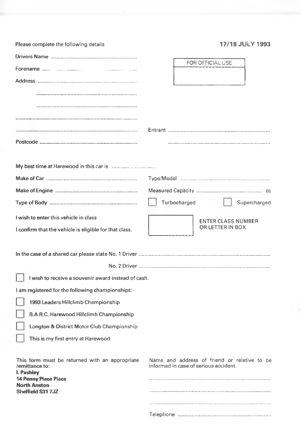| Please complete the following details                                                                         | <b>17/18 JULY 1993</b>                                                                |
|---------------------------------------------------------------------------------------------------------------|---------------------------------------------------------------------------------------|
|                                                                                                               |                                                                                       |
|                                                                                                               | <b>FOR OFFICIAL USE</b>                                                               |
|                                                                                                               |                                                                                       |
|                                                                                                               |                                                                                       |
|                                                                                                               |                                                                                       |
|                                                                                                               |                                                                                       |
|                                                                                                               |                                                                                       |
|                                                                                                               |                                                                                       |
|                                                                                                               |                                                                                       |
| My best time at Harewood in this car is manufactured and My best time at Harewood in this car is manufactured |                                                                                       |
|                                                                                                               |                                                                                       |
|                                                                                                               |                                                                                       |
|                                                                                                               | Turbocharged<br>Supercharged                                                          |
|                                                                                                               |                                                                                       |
| I wish to enter this vehicle in class                                                                         | <b>ENTER CLASS NUMBER</b><br>OR LETTER IN BOX                                         |
| I confirm that the vehicle is eligible for that class.                                                        |                                                                                       |
|                                                                                                               |                                                                                       |
|                                                                                                               |                                                                                       |
|                                                                                                               |                                                                                       |
| I wish to receive a souvenir award instead of cash.                                                           |                                                                                       |
| I am registered for the following championships:-                                                             |                                                                                       |
| 1993 Leaders Hillclimb Championship                                                                           |                                                                                       |
| B.A.R.C. Harewood Hillclimb Championship                                                                      |                                                                                       |
| Longton & District Motor Club Championship                                                                    |                                                                                       |
| This is my first entry at Harewood                                                                            |                                                                                       |
|                                                                                                               |                                                                                       |
| This form must be returned with an appropriate<br>remittance to:                                              | Name and address of friend or relative to be<br>informed in case of serious accident. |
| I. Pashley<br><b>14 Penny Piece Place</b>                                                                     |                                                                                       |
| <b>North Anston</b><br>Sheffield S31 7JZ                                                                      |                                                                                       |
|                                                                                                               |                                                                                       |
|                                                                                                               |                                                                                       |

÷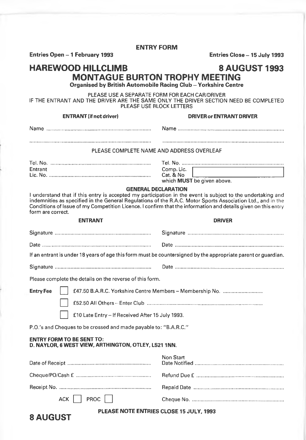**Entries Open - 1 February 1993 Entries Close - 15 July 1993**

### **HAREWOOD HILLCLIMB 8 AUGUST 1993 MONTAGUE BURTON TROPHY MEETING**

**Organised by British Automobile Racing Club - Yorkshire Centre** 

PLEASE USE A SEPARATE FORM FOR EACH CAR/DRIVER IF THE ENTRANT AND THE DRIVER ARE THE SAME ONLY THE DRIVER SECTION NEED BE COMPLETED PLEASE USE BLOCK LETTERS

#### **ENTRANT (if not driver) DRIVER or ENTRANT DRIVER**

| Name                                      |  |  |  |
|-------------------------------------------|--|--|--|
|                                           |  |  |  |
|                                           |  |  |  |
| PLEASE COMPLETE NAME AND ADDRESS OVERLEAF |  |  |  |
|                                           |  |  |  |

| Entrant |  |
|---------|--|
|         |  |

Tel. No........................................................................... Tel. No....... Comp. Lic.  $Cat. & No.$ which **MUST** be given above.

#### **GENERAL DECLARATION**

I understand that if this entry is accepted my participation in the event is subject to the undertaking and indemnities as specified in the General Regulations of the R.A.C. Motor Sports Association Ltd., and in the Conditions of Issue of my Competition Licence. I confirm that the information and details given on this entry form are correct.

**8 AUGUST**

#### **ENTRANT DRIVER**

| If an entrant is under 18 years of age this form must be countersigned by the appropriate parent or guardian. |  |  |
|---------------------------------------------------------------------------------------------------------------|--|--|
|                                                                                                               |  |  |
| Please complete the details on the reverse of this form.                                                      |  |  |
| <b>Entry Fee</b>                                                                                              |  |  |
|                                                                                                               |  |  |
| £10 Late Entry - If Received After 15 July 1993.                                                              |  |  |
| P.O.'s and Cheques to be crossed and made payable to: "B.A.R.C."                                              |  |  |
| <b>ENTRY FORM TO BE SENT TO:</b><br>D. NAYLOR, 6 WEST VIEW, ARTHINGTON, OTLEY, LS21 1NN.                      |  |  |

|                       | Non Start |
|-----------------------|-----------|
|                       |           |
|                       |           |
| $ACK$ $R$ PROC $\Box$ |           |

#### **PLEASE NOTE ENTRIES CLOSE 15 JULY, 1993**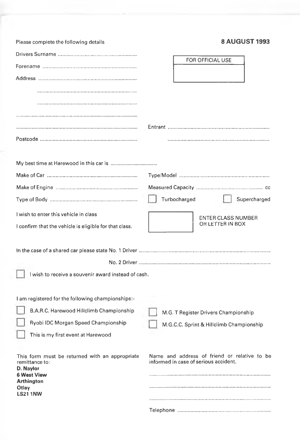| Please complete the following details                  | <b>8 AUGUST 1993</b>                         |
|--------------------------------------------------------|----------------------------------------------|
|                                                        |                                              |
|                                                        | FOR OFFICIAL USE                             |
|                                                        |                                              |
|                                                        |                                              |
|                                                        |                                              |
|                                                        |                                              |
|                                                        |                                              |
|                                                        |                                              |
|                                                        |                                              |
|                                                        |                                              |
|                                                        |                                              |
|                                                        |                                              |
|                                                        |                                              |
|                                                        | Turbocharged<br>Supercharged                 |
| I wish to enter this vehicle in class                  | <b>ENTER CLASS NUMBER</b>                    |
| I confirm that the vehicle is eligible for that class. | OR LETTER IN BOX                             |
|                                                        |                                              |
|                                                        |                                              |
|                                                        |                                              |
| I wish to receive a souvenir award instead of cash.    |                                              |
|                                                        |                                              |
| I am registered for the following championships:-      |                                              |
| B.A.R.C. Harewood Hillclimb Championship               | M.G. T Register Drivers Championship         |
| Ryobi IDC Morgan Speed Championship                    | M.G.C.C. Sprint & Hillclimb Championship     |
| This is my first event at Harewood                     |                                              |
|                                                        |                                              |
| This form must be returned with an appropriate         | Name and address of friend or relative to be |
| remittance to:<br>D. Naylor                            | informed in case of serious accident.        |
| <b>6 West View</b><br><b>Arthington</b>                |                                              |
| Otley<br><b>LS211NW</b>                                |                                              |
|                                                        |                                              |
|                                                        |                                              |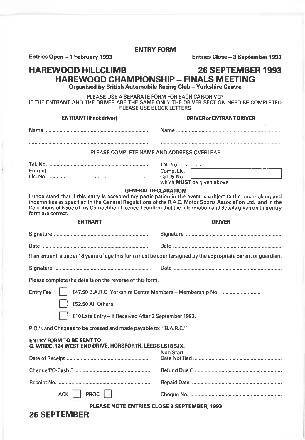#### **Entries Open - 1 February 1993 Entries Close - 3 Septem ber 1993**

### **HAREWOOD HILLCLIMB 26 SEPTEMBER 1993 HAREWOOD CHAMPIONSHIP - FINALS MEETING**

**Organised by British Automobile Racing Club - Yorkshire Centre**

PLEASE USE A SEPARATE FORM FOR EACH CAR/DRIVER IF THE ENTRANT AND THE DRIVER ARE THE SAME ONLY THE DRIVER SECTION NEED BE COMPLETED PLEASE USE BLOCK LETTERS

| IF THE ENTRANT AND THE DRIVER ARE THE SAME ONLY THE DRIVER SECTION NEED BE COMPLETED<br>PLEASE USE BLOCK LETTERS                                                                                                                                                                                                                                                                               |                                                           |  |  |
|------------------------------------------------------------------------------------------------------------------------------------------------------------------------------------------------------------------------------------------------------------------------------------------------------------------------------------------------------------------------------------------------|-----------------------------------------------------------|--|--|
| <b>ENTRANT</b> (if not driver)                                                                                                                                                                                                                                                                                                                                                                 | <b>DRIVER or ENTRANT DRIVER</b>                           |  |  |
|                                                                                                                                                                                                                                                                                                                                                                                                |                                                           |  |  |
|                                                                                                                                                                                                                                                                                                                                                                                                |                                                           |  |  |
| PLEASE COMPLETE NAME AND ADDRESS OVERLEAF                                                                                                                                                                                                                                                                                                                                                      |                                                           |  |  |
|                                                                                                                                                                                                                                                                                                                                                                                                |                                                           |  |  |
| Entrant                                                                                                                                                                                                                                                                                                                                                                                        | Comp. Lic.<br>Cat. & No.                                  |  |  |
|                                                                                                                                                                                                                                                                                                                                                                                                | which MUST be given above.                                |  |  |
| <b>GENERAL DECLARATION</b><br>I understand that if this entry is accepted my participation in the event is subject to the undertaking and<br>indemnities as specified in the General Regulations of the R.A.C. Motor Sports Association Ltd., and in the<br>Conditions of Issue of my Competition Licence. I confirm that the information and details given on this entry<br>form are correct. |                                                           |  |  |
| <b>ENTRANT</b>                                                                                                                                                                                                                                                                                                                                                                                 | <b>DRIVER</b>                                             |  |  |
|                                                                                                                                                                                                                                                                                                                                                                                                |                                                           |  |  |
|                                                                                                                                                                                                                                                                                                                                                                                                |                                                           |  |  |
| If an entrant is under 18 years of age this form must be countersigned by the appropriate parent or guardian.                                                                                                                                                                                                                                                                                  |                                                           |  |  |
|                                                                                                                                                                                                                                                                                                                                                                                                |                                                           |  |  |
| Please complete the details on the reverse of this form.                                                                                                                                                                                                                                                                                                                                       |                                                           |  |  |
| <b>Entry Fee</b><br>£52.50 All Others                                                                                                                                                                                                                                                                                                                                                          | £47.50 B.A.R.C. Yorkshire Centre Members - Membership No. |  |  |
| £10 Late Entry - If Received After 3 September 1993.                                                                                                                                                                                                                                                                                                                                           |                                                           |  |  |
| P.O.'s and Cheques to be crossed and made payable to: "B.A.R.C."                                                                                                                                                                                                                                                                                                                               |                                                           |  |  |
| <b>ENTRY FORM TO BE SENT TO:</b><br>G. WRIDE, 124 WEST END DRIVE, HORSFORTH, LEEDS LS18 5JX.                                                                                                                                                                                                                                                                                                   |                                                           |  |  |
|                                                                                                                                                                                                                                                                                                                                                                                                | Non Start                                                 |  |  |
|                                                                                                                                                                                                                                                                                                                                                                                                |                                                           |  |  |
|                                                                                                                                                                                                                                                                                                                                                                                                |                                                           |  |  |
| FROC<br>ACK                                                                                                                                                                                                                                                                                                                                                                                    |                                                           |  |  |

**PLEASE NOTE ENTRIES CLOSE 3 SEPTEMBER, 1993**

### **26 SEPTEMBER**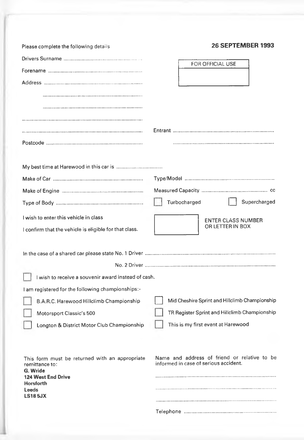| Please complete the following details                            | <b>26 SEPTEMBER 1993</b>                                                              |
|------------------------------------------------------------------|---------------------------------------------------------------------------------------|
|                                                                  |                                                                                       |
|                                                                  | FOR OFFICIAL USE                                                                      |
|                                                                  |                                                                                       |
|                                                                  |                                                                                       |
|                                                                  |                                                                                       |
|                                                                  |                                                                                       |
|                                                                  |                                                                                       |
|                                                                  |                                                                                       |
|                                                                  |                                                                                       |
|                                                                  |                                                                                       |
|                                                                  |                                                                                       |
|                                                                  | Supercharged<br>Turbocharged                                                          |
| I wish to enter this vehicle in class                            | <b>ENTER CLASS NUMBER</b>                                                             |
| I confirm that the vehicle is eligible for that class.           | OR LETTER IN BOX                                                                      |
|                                                                  |                                                                                       |
|                                                                  |                                                                                       |
| I wish to receive a souvenir award instead of cash.              |                                                                                       |
| I am registered for the following championships:-                |                                                                                       |
| B.A.R.C. Harewood Hillclimb Championship                         | Mid Cheshire Sprint and Hillclimb Championship                                        |
| Motorsport Classic's 500                                         | TR Register Sprint and Hillclimb Championship                                         |
| Longton & District Motor Club Championship                       | This is my first event at Harewood                                                    |
|                                                                  |                                                                                       |
| This form must be returned with an appropriate<br>remittance to: | Name and address of friend or relative to be<br>informed in case of serious accident. |
| G. Wride<br>124 West End Drive                                   |                                                                                       |
| Horsforth<br>Leeds                                               |                                                                                       |
| <b>LS185JX</b>                                                   |                                                                                       |
|                                                                  |                                                                                       |